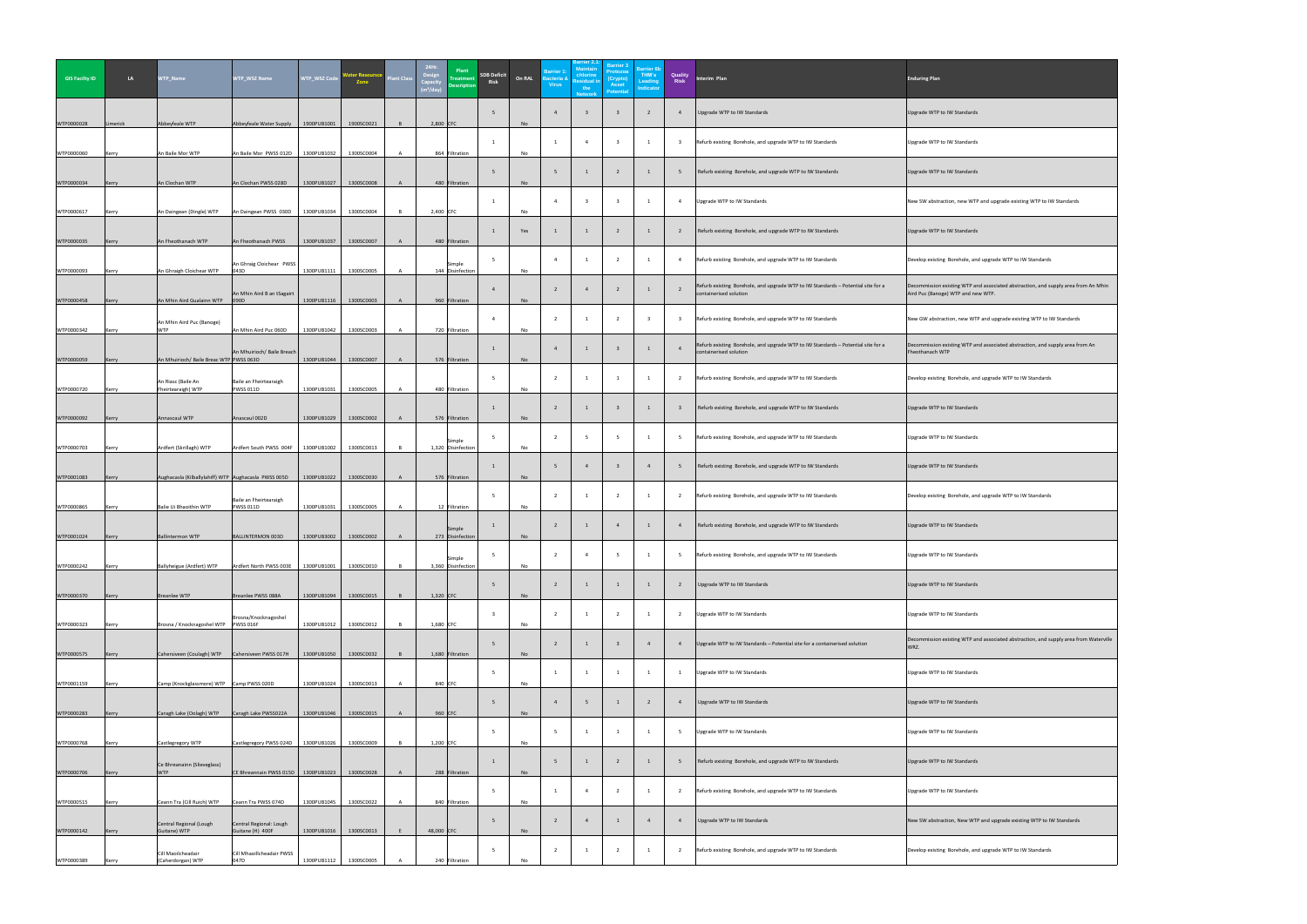| <b>GIS Facilty ID</b> | LA           | WTP_Name                                             | <b>WTP_WSZ Name</b>                         | WTP_WSZ Code | <b>Water Resoursc</b><br>Zone | <b>Plant Class</b> | 24Hr.<br>Design<br>Capacit | Plant<br><b>Treatment</b><br><b>Description</b> | <b>SDB Deficit</b><br><b>Risk</b> | On RAL    | <b>Barrier 1:</b><br><b>Bacteria &amp;</b><br><b>Virus</b> | 3arrier 2.1<br><b>Maintain</b><br>chlorine<br><b>Residual in</b><br>the<br><b>Network</b> | <b>Barrier 3</b><br>Protozoa<br>(Crypto)<br><b>Asset</b><br><b>Potential</b> | <b>Barrier 6b</b><br>THM's<br><b>Leading</b><br><b>Indicator</b> | <b>Quality<br/>Risk</b> | Interim Plan                                                                                                 | <b>Enduring Plan</b>                                                                                                     |
|-----------------------|--------------|------------------------------------------------------|---------------------------------------------|--------------|-------------------------------|--------------------|----------------------------|-------------------------------------------------|-----------------------------------|-----------|------------------------------------------------------------|-------------------------------------------------------------------------------------------|------------------------------------------------------------------------------|------------------------------------------------------------------|-------------------------|--------------------------------------------------------------------------------------------------------------|--------------------------------------------------------------------------------------------------------------------------|
| WTP0000028            | Limerick     | Abbeyfeale WTP                                       | Abbeyfeale Water Supply                     | 1900PUB1001  | 1900SC0021                    |                    | $2,800$ CFC                |                                                 |                                   | No        |                                                            |                                                                                           |                                                                              |                                                                  |                         | Upgrade WTP to IW Standards                                                                                  | Upgrade WTP to IW Standards                                                                                              |
| WTP0000060            | Kerry        | An Baile Mor WTP                                     | An Baile Mor PWSS 012D                      | 1300PUB1032  | 1300SC0004                    |                    |                            | 864 Filtration                                  |                                   | No        |                                                            | - 4                                                                                       |                                                                              |                                                                  |                         | Refurb existing Borehole, and upgrade WTP to IW Standards                                                    | Upgrade WTP to IW Standards                                                                                              |
| WTP0000034            | Kerry        | An Clochan WTP                                       | An Clochan PWSS 028D                        | 1300PUB1027  | 1300SC0008                    |                    |                            | 480 Filtration                                  |                                   | No        |                                                            |                                                                                           |                                                                              |                                                                  |                         | Refurb existing Borehole, and upgrade WTP to IW Standards                                                    | Upgrade WTP to IW Standards                                                                                              |
| WTP0000617            | Kerry        | An Daingean (Dingle) WTP                             | An Daingean PWSS 030D                       | 1300PUB1034  | 1300SC0004                    |                    | $2,400$ CFC                |                                                 |                                   | No        |                                                            |                                                                                           |                                                                              |                                                                  |                         | Upgrade WTP to IW Standards                                                                                  | New SW abstraction, new WTP and upgrade existing WTP to IW Standards                                                     |
| WTP0000035            | Kerry        | An Fheothanach WTP                                   | An Fheothanach PWSS                         | 1300PUB1037  | 1300SC0007                    |                    |                            | 480 Filtration                                  |                                   | Yes       |                                                            |                                                                                           |                                                                              |                                                                  |                         | Refurb existing Borehole, and upgrade WTP to IW Standards                                                    | Upgrade WTP to IW Standards                                                                                              |
| WTP0000093            | Kerry        | An Ghraigh Cloichear WTP                             | An Ghraig Cloichear PWSS<br>)43D            | 1300PUB1111  | 1300SC0005                    |                    |                            | Simple<br>144 Disinfection                      |                                   | No        |                                                            |                                                                                           |                                                                              |                                                                  |                         | Refurb existing Borehole, and upgrade WTP to IW Standards                                                    | Develop existing Borehole, and upgrade WTP to IW Standards                                                               |
| WTP0000458            | Kerry        | An Mhin Aird Gualainn WTP                            | An Mhin Aird B an tSagairt<br>090D          | 1300PUB1116  | 1300SC0003                    |                    |                            | 960 Filtration                                  |                                   | No        |                                                            |                                                                                           |                                                                              |                                                                  |                         | Refurb existing Borehole, and upgrade WTP to IW Standards $-$ Potential site for a<br>containerised solution | Decommission existing WTP and associated abstraction, and supply area from An Mhin<br>Aird Puc (Banoge) WTP and new WTP. |
| WTP0000342            | Kerry        | An Mhin Aird Puc (Banoge)<br><b>WTP</b>              | An Mhin Aird Puc 060D                       | 1300PUB1042  | 1300SC0003                    |                    |                            | 720 Filtration                                  |                                   | No        |                                                            |                                                                                           |                                                                              |                                                                  |                         | Refurb existing Borehole, and upgrade WTP to IW Standards                                                    | New GW abstraction, new WTP and upgrade existing WTP to IW Standards                                                     |
| WTP0000059            | Kerry        | An Mhuirioch/ Baile Breac WTP PWSS 063D              | An Mhuirioch/ Baile Breach                  | 1300PUB1044  | 1300SC0007                    |                    |                            | 576 Filtration                                  |                                   | No        |                                                            |                                                                                           |                                                                              |                                                                  |                         | Refurb existing Borehole, and upgrade WTP to IW Standards - Potential site for a<br>containerised solution   | Decommission existing WTP and associated abstraction, and supply area from An<br>Fheothanach WTP                         |
| WTP0000720            | Kerry        | An Riasc (Baile An<br>Fheirtearaigh) WTP             | Baile an Fheirtearaigh<br><b>PWSS 011D</b>  | 1300PUB1031  | 1300SC0005                    |                    |                            | 480 Filtration                                  |                                   | No        |                                                            |                                                                                           |                                                                              |                                                                  |                         | Refurb existing Borehole, and upgrade WTP to IW Standards                                                    | Develop existing Borehole, and upgrade WTP to IW Standards                                                               |
| WTP0000092            | Kerry        | Annascaul WTP                                        | Anascaul 002D                               | 1300PUB1029  | 1300SC0002                    |                    |                            | 576 Filtration                                  |                                   | No        |                                                            |                                                                                           |                                                                              |                                                                  |                         | Refurb existing Borehole, and upgrade WTP to IW Standards                                                    | Upgrade WTP to IW Standards                                                                                              |
| WTP0000703            | Kerry        | Ardfert (Skrillagh) WTP                              | Ardfert South PWSS 004F                     | 1300PUB1002  | 1300SC0013                    |                    |                            | Simple<br>1,320 Disinfection                    |                                   | No        |                                                            |                                                                                           |                                                                              |                                                                  |                         | Refurb existing Borehole, and upgrade WTP to IW Standards                                                    | Upgrade WTP to IW Standards                                                                                              |
| WTP0001083            | Kerry        | Aughacasla (Kilballylahiff) WTP Aughacasla PWSS 005D |                                             | 1300PUB1022  | 1300SC0030                    |                    |                            | 576 Filtration                                  |                                   | <b>No</b> |                                                            |                                                                                           |                                                                              |                                                                  |                         | Refurb existing Borehole, and upgrade WTP to IW Standards                                                    | Upgrade WTP to IW Standards                                                                                              |
| WTP0000865            | Kerry        | Balie Ui Bhaoithin WTP                               | Baile an Fheirtearaigh<br><b>PWSS 011D</b>  | 1300PUB1031  | 1300SC0005                    |                    |                            | 12 Filtration                                   |                                   | No.       |                                                            |                                                                                           |                                                                              |                                                                  |                         | Refurb existing Borehole, and upgrade WTP to IW Standards                                                    | Develop existing Borehole, and upgrade WTP to IW Standards                                                               |
| WTP0001024            | Kerry        | <b>Ballintermon WTP</b>                              | BALLINTERMON 003D                           | 1300PUB3002  | 1300SC0002                    |                    |                            | Simple<br>273 Disinfection                      |                                   | <b>No</b> |                                                            |                                                                                           |                                                                              |                                                                  |                         | Refurb existing Borehole, and upgrade WTP to IW Standards                                                    | Upgrade WTP to IW Standards                                                                                              |
| WTP0000242            | Kerry        | Ballyheigue (Ardfert) WTP                            | Ardfert North PWSS 003E                     | 1300PUB1001  | 1300SC0010                    |                    |                            | Simple<br>3,360 Disinfection                    |                                   | No        |                                                            |                                                                                           |                                                                              |                                                                  |                         | Refurb existing Borehole, and upgrade WTP to IW Standards                                                    | Upgrade WTP to IW Standards                                                                                              |
| WTP0000370            | Kerry        | Breanlee WTP                                         | Breanlee PWSS 088A                          | 1300PUB1094  | 1300SC0015                    |                    | $1,320$ CFC                |                                                 |                                   | <b>No</b> |                                                            |                                                                                           |                                                                              |                                                                  |                         | Upgrade WTP to IW Standards                                                                                  | Upgrade WTP to IW Standards                                                                                              |
| WTP0000323            | Kerry        | Brosna / Knocknagoshel WTP                           | Brosna/Knocknagoshel<br><b>PWSS 016F</b>    | 1300PUB1012  | 1300SC0012                    |                    | 1,680 CFC                  |                                                 |                                   | No        |                                                            |                                                                                           |                                                                              |                                                                  |                         | Upgrade WTP to IW Standards                                                                                  | Upgrade WTP to IW Standards                                                                                              |
| WTP0000575            | Kerry        | Cahersiveen (Coulagh) WTP                            | Cahersiveen PWSS 017H                       | 1300PUB1050  | 1300SC0032                    |                    |                            | 1,680 Filtration                                |                                   | <b>No</b> |                                                            |                                                                                           |                                                                              |                                                                  |                         | Upgrade WTP to IW Standards - Potential site for a containerised solution                                    | Decommission existing WTP and associated abstraction, and supply area from Waterville<br>WRZ.                            |
| WTP0001159            | <b>Kerry</b> | Camp (Knockglassmore) WTP Camp PWSS 020D             |                                             | 1300PUB1024  | 1300SC0013                    |                    | 840 CFC                    |                                                 |                                   | No        |                                                            |                                                                                           |                                                                              |                                                                  |                         | Upgrade WTP to IW Standards                                                                                  | Upgrade WTP to IW Standards                                                                                              |
| WTP0000283            | Kerry        | Caragh Lake (Oolagh) WTP                             | Caragh Lake PWSS022A                        | 1300PUB1046  | 1300SC0015                    |                    | 960 $CFC$                  |                                                 |                                   | No        |                                                            |                                                                                           |                                                                              |                                                                  |                         | Upgrade WTP to IW Standards                                                                                  | Upgrade WTP to IW Standards                                                                                              |
| WTP0000768            | Kerry        | Castlegregory WTP                                    | Castlegregory PWSS 024D                     | 1300PUB1026  | 1300SC0009                    |                    | $1,200$ CFC                |                                                 |                                   | No        |                                                            |                                                                                           |                                                                              |                                                                  |                         | Upgrade WTP to IW Standards                                                                                  | Upgrade WTP to IW Standards                                                                                              |
| WTP0000706            | Kerry        | Ce Bhreanainn (Slieveglass)<br><b>WTP</b>            | CE Bhreannain PWSS 015D   1300PUB1023       |              | 1300SC0028                    |                    |                            | 288 Filtration                                  |                                   | <b>No</b> |                                                            |                                                                                           |                                                                              |                                                                  |                         | Refurb existing Borehole, and upgrade WTP to IW Standards                                                    | Upgrade WTP to IW Standards                                                                                              |
| WTP0000515            | Kerry        | Ceann Tra (Cill Ruich) WTP                           | Ceann Tra PWSS 074D                         | 1300PUB1045  | 1300SC0022                    |                    |                            | 840 Filtration                                  |                                   | No        |                                                            |                                                                                           |                                                                              |                                                                  |                         | Refurb existing Borehole, and upgrade WTP to IW Standards                                                    | Upgrade WTP to IW Standards                                                                                              |
| WTP0000142            | Kerry        | Central Regional (Lough<br>Guitane) WTP              | Central Regional: Lough<br>Guitane (H) 400F | 1300PUB1016  | 1300SC0013                    |                    | 48,000 CFC                 |                                                 |                                   | No        |                                                            |                                                                                           |                                                                              |                                                                  |                         | Upgrade WTP to IW Standards                                                                                  | New SW abstraction, New WTP and upgrade existing WTP to IW Standards                                                     |
| WTP0000389            | Kerry        | Cill Maoilcheadair<br>(Caherdorgan) WTP              | Cill Mhaoillcheadair PWSS<br>047D           | 1300PUB1112  | 1300SC0005                    |                    |                            | 240 Filtration                                  |                                   | No        |                                                            |                                                                                           |                                                                              |                                                                  |                         | Refurb existing Borehole, and upgrade WTP to IW Standards                                                    | Develop existing Borehole, and upgrade WTP to IW Standards                                                               |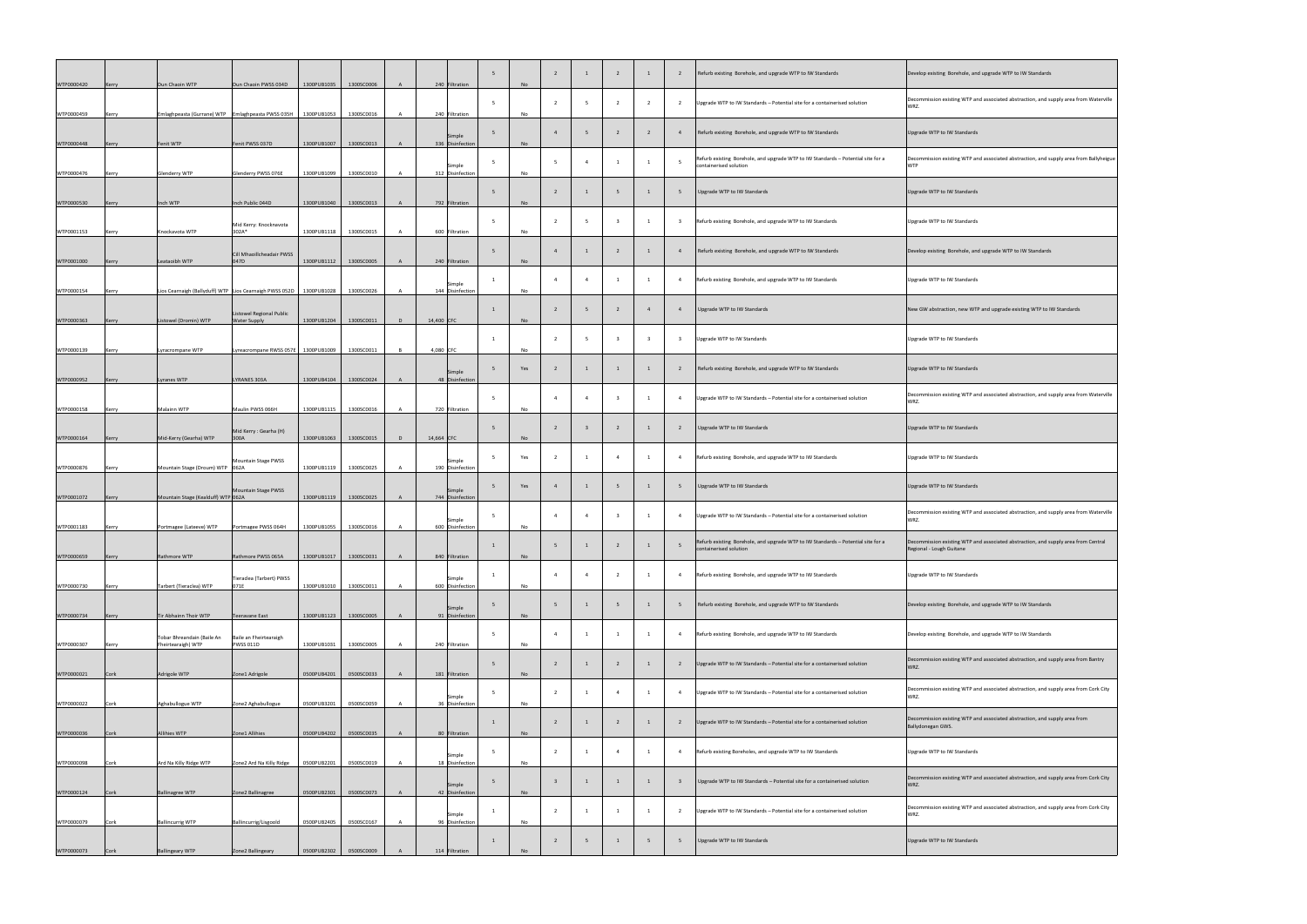| WTP0000420 | Kerry | Dun Chaoin WTP                                                            | Dun Chaoin PWSS 034D                                         | 1300PUB1035                | 1300SC0006               |                | 240 Filtration                    | No        |                |  |                | Refurb existing Borehole, and upgrade WTP to IW Standards                                                  | Develop existing Borehole, and upgrade WTP to IW Standards                                                     |
|------------|-------|---------------------------------------------------------------------------|--------------------------------------------------------------|----------------------------|--------------------------|----------------|-----------------------------------|-----------|----------------|--|----------------|------------------------------------------------------------------------------------------------------------|----------------------------------------------------------------------------------------------------------------|
| WTP0000459 | Kerry | Emlaghpeasta (Gurrane) WTP   Emlaghpeasta PWSS 035H                       |                                                              | 1300PUB1053                | 1300SC0016               |                | 240 Filtration                    | No        |                |  |                | Upgrade WTP to IW Standards - Potential site for a containerised solution                                  | Decommission existing WTP and associated abstraction, and supply area from Waterville<br>WRZ.                  |
| WTP0000448 | Kerry | Fenit WTP                                                                 | Fenit PWSS 037D                                              | 1300PUB1007                | 1300SC0013               |                | Simple<br>336 Disinfection        | <b>No</b> |                |  |                | Refurb existing Borehole, and upgrade WTP to IW Standards                                                  | Upgrade WTP to IW Standards                                                                                    |
| WTP0000476 | Kerry | <b>Glenderry WTP</b>                                                      | Glenderry PWSS 076E                                          | 1300PUB1099                | 1300SC0010               |                | Simple<br>312 Disinfection        | No        |                |  |                | Refurb existing Borehole, and upgrade WTP to IW Standards - Potential site for a<br>containerised solution | Decommission existing WTP and associated abstraction, and supply area from Ballyheigue<br><b>WTP</b>           |
| WTP0000530 | Kerry | Inch WTP                                                                  | Inch Public 044D                                             | 1300PUB1040                | 1300SC0013               | $\mathsf{A}$   | 792 Filtration                    | No        |                |  |                | Upgrade WTP to IW Standards                                                                                | Upgrade WTP to IW Standards                                                                                    |
| WTP0001153 | Kerry | Knockavota WTP                                                            | Mid Kerry: Knocknavota<br>302A*                              | 1300PUB1118                | 1300SC0015               |                | 600 Filtration                    | <b>No</b> |                |  |                | Refurb existing Borehole, and upgrade WTP to IW Standards                                                  | Upgrade WTP to IW Standards                                                                                    |
| WTP0001000 | Kerry | Leataoibh WTP                                                             | Cill Mhaoillcheadair PWSS<br>047D                            | 1300PUB1112                | 1300SC0005               |                | 240 Filtration                    | No        |                |  |                | Refurb existing Borehole, and upgrade WTP to IW Standards                                                  | Develop existing Borehole, and upgrade WTP to IW Standards                                                     |
| WTP0000154 | Kerry | Lios Cearnaigh (Ballyduff) WTP Lios Cearnaigh PWSS 052D                   |                                                              | 1300PUB1028                | 1300SC0026               |                | Simple<br>144 Disinfection        | No        | $\overline{a}$ |  |                | Refurb existing Borehole, and upgrade WTP to IW Standards                                                  | Upgrade WTP to IW Standards                                                                                    |
| WTP0000363 | Kerry | Listowel (Dromin) WTP                                                     | Listowel Regional Public<br><b>Water Supply</b>              | 1300PUB1204                | 1300SC0011               | D              | 14,400 CFC                        | <b>No</b> |                |  |                | Upgrade WTP to IW Standards                                                                                | New GW abstraction, new WTP and upgrade existing WTP to IW Standards                                           |
| WTP0000139 | Kerry | Lyracrompane WTP                                                          | Lyreacrompane RWSS 057E                                      | 1300PUB1009                | 1300SC0011               | $\overline{B}$ | 4,080 CFC                         | <b>No</b> |                |  |                | <b>Upgrade WTP to IW Standards</b>                                                                         | Upgrade WTP to IW Standards                                                                                    |
| WTP0000952 | Kerry | Lyranes WTP                                                               | LYRANES 303A                                                 | 1300PUB4104                | 1300SC0024               | $\mathsf{A}$   | Simple<br>48 Disinfection         | Yes       |                |  |                | Refurb existing Borehole, and upgrade WTP to IW Standards                                                  | Upgrade WTP to IW Standards                                                                                    |
| WTP0000158 | Kerry | Malainn WTP                                                               | Maulin PWSS 066H                                             | 1300PUB1115                | 1300SC0016               |                | 720 Filtration                    | <b>No</b> |                |  |                | Upgrade WTP to IW Standards - Potential site for a containerised solution                                  | Decommission existing WTP and associated abstraction, and supply area from Waterville<br>WRZ.                  |
| WTP0000164 | Kerry | Mid-Kerry (Gearha) WTP                                                    | Mid Kerry: Gearha (H)<br>300A                                | 1300PUB1063                | 1300SC0015               | D              | $14,664$ CFC                      | <b>No</b> |                |  |                | Upgrade WTP to IW Standards                                                                                | Upgrade WTP to IW Standards                                                                                    |
| WTP0000876 | Kerry | Mountain Stage (Droum) WTP 062A                                           | Mountain Stage PWSS                                          | 1300PUB1119                | 1300SC0025               |                | Simple<br>190 Disinfection        | Yes       |                |  |                | Refurb existing Borehole, and upgrade WTP to IW Standards                                                  | Upgrade WTP to IW Standards                                                                                    |
| WTP0001072 | Kerry | Mountain Stage (Kealduff) WTP 062A                                        | Mountain Stage PWSS                                          | 1300PUB1119                | 1300SC0025               | A              | Simple<br>744 Disinfection        | Yes       |                |  |                | Upgrade WTP to IW Standards                                                                                | Upgrade WTP to IW Standards                                                                                    |
| WTP0001183 |       | Portmagee (Lateeve) WTP                                                   | Portmagee PWSS 064H                                          | 1300PUB1055                | 1300SC0016               |                | Simple<br>600 Disinfection        | No        |                |  |                | Upgrade WTP to IW Standards - Potential site for a containerised solution                                  | Decommission existing WTP and associated abstraction, and supply area from Waterville<br>WRZ.                  |
|            | Kerry | Rathmore WTP                                                              | Rathmore PWSS 065A                                           | 1300PUB1017                | 1300SC0031               |                | 840 Filtration                    |           |                |  |                | Refurb existing Borehole, and upgrade WTP to IW Standards - Potential site for a<br>containerised solution | Decommission existing WTP and associated abstraction, and supply area from Central<br>Regional - Lough Guitane |
| WTP0000659 | Kerry |                                                                           | Tieraclea (Tarbert) PWSS                                     |                            |                          |                | Simple                            | No        |                |  |                | Refurb existing Borehole, and upgrade WTP to IW Standards                                                  | Upgrade WTP to IW Standards                                                                                    |
| WTP0000730 | Kerry | Tarbert (Tieraclea) WTP                                                   | 071E                                                         | 1300PUB1010                | 1300SC0011               |                | 600 Disinfection<br>Simple        | No        |                |  |                | Refurb existing Borehole, and upgrade WTP to IW Standards                                                  | Develop existing Borehole, and upgrade WTP to IW Standards                                                     |
| WTP0000734 | Kerry | Tir Abhainn Thoir WTP<br>Tobar Bhreandain (Baile An<br>Fheirtearaigh) WTP | Teeravane East<br>Baile an Fheirtearaigh<br><b>PWSS 011D</b> | 1300PUB1123<br>1300PUB1031 | 1300SC0005<br>1300SC0005 |                | 91 Disinfection<br>240 Filtration | <b>No</b> |                |  |                | Refurb existing Borehole, and upgrade WTP to IW Standards                                                  | Develop existing Borehole, and upgrade WTP to IW Standards                                                     |
| WTP0000307 | Kerry |                                                                           |                                                              |                            |                          |                |                                   | <b>No</b> |                |  |                | Upgrade WTP to IW Standards - Potential site for a containerised solution                                  | Decommission existing WTP and associated abstraction, and supply area from Bantry<br>WRZ.                      |
| WTP0000021 | Cork  | Adrigole WTP                                                              | Zone1 Adrigole                                               | 0500PUB4201                | 0500SC0033               |                | 181 Filtration<br>Simple          | No        |                |  |                | Upgrade WTP to IW Standards - Potential site for a containerised solution                                  | Decommission existing WTP and associated abstraction, and supply area from Cork City<br>WRZ.                   |
| WTP0000022 | Cork  | Aghabullogue WTP                                                          | Zone2 Aghabullogue                                           | 0500PUB3201                | 0500SC0059               |                | 36 Disinfection                   | No        |                |  |                | Upgrade WTP to IW Standards - Potential site for a containerised solution                                  | Decommission existing WTP and associated abstraction, and supply area from<br>Ballydonegan GWS.                |
| WTP0000036 | Cork  | Allihies WTP                                                              | Zone1 Allihies                                               | 0500PUB4202                | 0500SC0035               |                | 80 Filtration<br>Simple           | <b>No</b> | $\epsilon$     |  | $\overline{4}$ | Refurb existing Boreholes, and upgrade WTP to IW Standards                                                 | Upgrade WTP to IW Standards                                                                                    |
| WTP0000098 | Cork  | Ard Na Killy Ridge WTP                                                    | Zone2 Ard Na Killy Ridge                                     | 0500PUB2201                | 0500SC0019               | A.             | 18 Disinfection<br>Simple         | No        |                |  |                | Upgrade WTP to IW Standards - Potential site for a containerised solution                                  | Decommission existing WTP and associated abstraction, and supply area from Cork City<br>WRZ.                   |
| WTP0000124 | Cork  | <b>Ballinagree WTP</b>                                                    | Zone2 Ballinagree                                            | 0500PUB2301                | 0500SC0073               |                | 42 Disinfection<br>Simple         | No        |                |  |                | Upgrade WTP to IW Standards - Potential site for a containerised solution                                  | Decommission existing WTP and associated abstraction, and supply area from Cork City<br>WRZ.                   |
| WTP0000079 | Cork  | <b>Ballincurrig WTP</b>                                                   | Ballincurrig/Lisgoold                                        | 0500PUB2405                | 0500SC0167               |                | 96 Disinfection                   | No        |                |  |                | Upgrade WTP to IW Standards                                                                                | Upgrade WTP to IW Standards                                                                                    |
| WTP0000073 | Cork  | <b>Ballingeary WTP</b>                                                    | Zone2 Ballingeary                                            | 0500PUB2302                | 0500SC0009               |                | 114 Filtration                    | No        |                |  |                |                                                                                                            |                                                                                                                |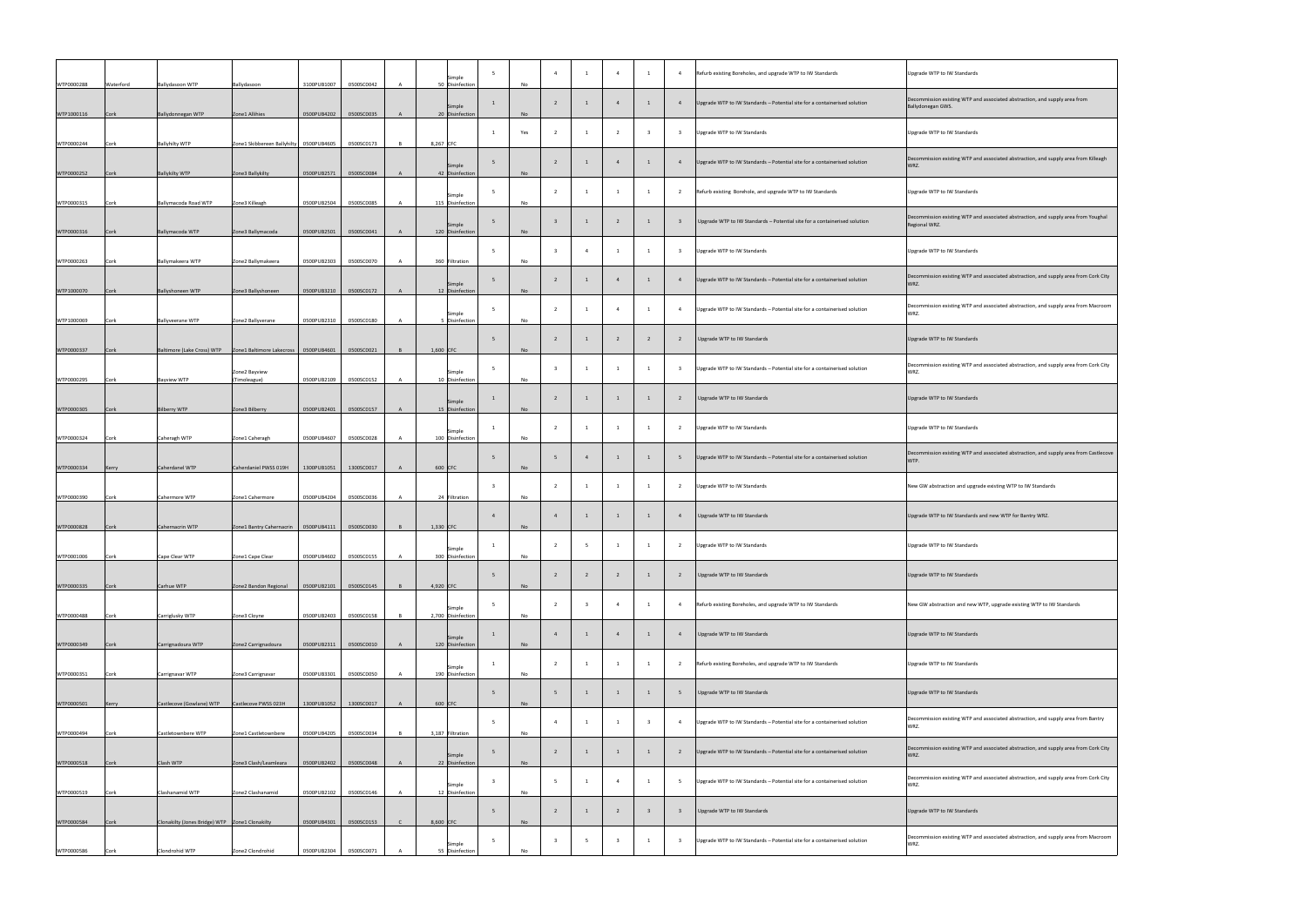| WTP0000288 | Waterford   | <b>Ballydasoon WTP</b>                           | Ballydasoon                                | 3100PUB1007 | 0500SC0042 |  | Simple<br>50 Disinfection    | No        |                         |                |   |                          | Refurb existing Boreholes, and upgrade WTP to IW Standards<br>Upgrade WTP to IW Standards                                                                                        |
|------------|-------------|--------------------------------------------------|--------------------------------------------|-------------|------------|--|------------------------------|-----------|-------------------------|----------------|---|--------------------------|----------------------------------------------------------------------------------------------------------------------------------------------------------------------------------|
| WTP1000116 | Cork        | Ballydonnegan WTP                                | Zone1 Allihies                             | 0500PUB4202 | 0500SC0035 |  | Simple<br>20 Disinfection    | No        |                         |                |   |                          | Decommission existing WTP and associated abstraction, and sup<br>Upgrade WTP to IW Standards - Potential site for a containerised solution<br>Ballydonegan GWS.                  |
| WTP0000244 | Cork        | <b>Ballyhilty WTP</b>                            | Zone1 Skibbereen Ballyhilty   0500PUB4605  |             | 0500SC0173 |  | 8,267 CFC                    | Yes       |                         |                |   | $\overline{\mathbf{3}}$  | Upgrade WTP to IW Standards<br>Upgrade WTP to IW Standards                                                                                                                       |
| WTP0000252 | Cork        | <b>Ballykilty WTP</b>                            | Zone3 Ballykilty                           | 0500PUB2571 | 0500SC0084 |  | Simple<br>42 Disinfection    | No        |                         |                |   |                          | Decommission existing WTP and associated abstraction, and sup<br>Upgrade WTP to IW Standards - Potential site for a containerised solution<br>WRZ.                               |
| WTP0000315 | <b>Cork</b> | Ballymacoda Road WTP                             | Zone3 Killeagh                             | 0500PUB2504 | 0500SC0085 |  | Simple<br>115 Disinfection   | No        |                         |                |   |                          | Upgrade WTP to IW Standards<br>Refurb existing Borehole, and upgrade WTP to IW Standards                                                                                         |
| WTP0000316 | Cork        | Ballymacoda WTP                                  | Zone3 Ballymacoda                          | 0500PUB2501 | 0500SC0041 |  | Simple<br>120 Disinfection   | No        |                         |                |   |                          | Decommission existing WTP and associated abstraction, and sup<br>Upgrade WTP to IW Standards - Potential site for a containerised solution<br>Regional WRZ.                      |
|            |             |                                                  |                                            |             |            |  |                              |           |                         |                |   |                          | Upgrade WTP to IW Standards<br>Upgrade WTP to IW Standards                                                                                                                       |
| WTP0000263 | Cork        | Ballymakeera WTP                                 | Zone2 Ballymakeera                         | 0500PUB2303 | 0500SC0070 |  | 360 Filtration<br>Simple     | No        |                         |                |   |                          | Decommission existing WTP and associated abstraction, and sup<br>Upgrade WTP to IW Standards - Potential site for a containerised solution<br>WRZ.                               |
| WTP1000070 | Cork        | <b>Ballyshoneen WTP</b>                          | Zone3 Ballyshoneen                         | 0500PUB3210 | 0500SC0172 |  | 12 Disinfection<br>Simple    | <b>No</b> |                         |                |   |                          | Decommission existing WTP and associated abstraction, and sup<br>Upgrade WTP to IW Standards - Potential site for a containerised solution<br>- 4<br>WRZ.                        |
| WTP1000069 | Cork        | <b>Ballyveerane WTP</b>                          | Zone2 Ballyverane                          | 0500PUB2310 | 0500SC0180 |  | Disinfection                 | No        |                         |                |   |                          | Upgrade WTP to IW Standards<br>Upgrade WTP to IW Standards                                                                                                                       |
| WTP0000337 | Cork        | Baltimore (Lake Cross) WTP                       | Zone1 Baltimore Lakecross<br>Zone2 Bayview | 0500PUB4601 | 0500SC0021 |  | $1,600$ CFC<br>Simple        | No        |                         |                |   | $\overline{1}$           | Decommission existing WTP and associated abstraction, and sup<br>Upgrade WTP to IW Standards - Potential site for a containerised solution<br>WRZ.                               |
| WTP0000295 | Cork        | <b>Bayview WTP</b>                               | (Timoleague)                               | 0500PUB2109 | 0500SC0152 |  | 10 Disinfection<br>Simple    | No        |                         |                |   |                          | Upgrade WTP to IW Standards<br>Upgrade WTP to IW Standards                                                                                                                       |
| WTP0000305 | Cork        | <b>Bilberry WTP</b>                              | Zone3 Bilberry                             | 0500PUB2401 | 0500SC0157 |  | 15 Disinfection<br>Simple    | No        |                         |                |   | - 1                      | Upgrade WTP to IW Standards<br>Upgrade WTP to IW Standards                                                                                                                       |
| WTP0000324 | Cork        | Caheragh WTP                                     | Zone1 Caheragh                             | 0500PUB4607 | 0500SC0028 |  | 100 Disinfection             | No        |                         |                |   |                          | Decommission existing WTP and associated abstraction, and sup<br>Upgrade WTP to IW Standards - Potential site for a containerised solution<br>WTP.                               |
| WTP0000334 | Kerry       | Caherdanel WTP                                   | Caherdaniel PWSS 019H                      | 1300PUB1051 | 1300SC0017 |  | $600$ CFC                    | No        |                         |                |   | $\overline{\phantom{0}}$ | Upgrade WTP to IW Standards<br>New GW abstraction and upgrade existing WTP to IW Standards                                                                                       |
| WTP0000390 | Cork        | Cahermore WTP                                    | Zone1 Cahermore                            | 0500PUB4204 | 0500SC0036 |  | 24 Filtration                | No        |                         |                |   |                          | Upgrade WTP to IW Standards<br>Upgrade WTP to IW Standards and new WTP for Bantry WRZ.                                                                                           |
| WTP0000828 | Cork        | Cahernacrin WTP                                  | Zone1 Bantry Cahernacrin                   | 0500PUB4111 | 0500SC0030 |  | $1,330$ CFC                  | <b>No</b> |                         |                |   | $\overline{1}$           | Upgrade WTP to IW Standards<br>Upgrade WTP to IW Standards                                                                                                                       |
| WTP0001006 | Cork        | Cape Clear WTP                                   | Zone1 Cape Clear                           | 0500PUB4602 | 0500SC0155 |  | Simple<br>300 Disinfection   | No        |                         |                |   |                          |                                                                                                                                                                                  |
| WTP0000335 | Cork        | Carhue WTP                                       | Zone2 Bandon Regional                      | 0500PUB2101 | 0500SC0145 |  | 4,920 $ CFC$                 | No        |                         |                |   |                          | Upgrade WTP to IW Standards<br>Upgrade WTP to IW Standards                                                                                                                       |
| WTP0000488 | Cork        | Carriglusky WTP                                  | Zone3 Cloyne                               | 0500PUB2403 | 0500SC0158 |  | Simple<br>2,700 Disinfection | No        |                         |                |   |                          | Refurb existing Boreholes, and upgrade WTP to IW Standards<br>New GW abstraction and new WTP, upgrade existing WTP to IW                                                         |
| WTP0000349 | Cork        | Carrignadoura WTP                                | Zone2 Carrignadoura                        | 0500PUB2311 | 0500SC0010 |  | Simple<br>120 Disinfection   | No        |                         |                |   |                          | Upgrade WTP to IW Standards<br>Upgrade WTP to IW Standards                                                                                                                       |
| WTP0000351 | Cork        | Carrignavar WTP                                  | Zone3 Carrignavar                          | 0500PUB3301 | 0500SC0050 |  | Simple<br>190 Disinfection   | No        |                         |                |   |                          | Refurb existing Boreholes, and upgrade WTP to IW Standards<br>Upgrade WTP to IW Standards                                                                                        |
| WTP0000501 | Kerry       | Castlecove (Gowlane) WTP                         | Castlecove PWSS 023H                       | 1300PUB1052 | 1300SC0017 |  | $600$ CFC                    | No        |                         |                |   | $\overline{1}$           | Upgrade WTP to IW Standards<br>Upgrade WTP to IW Standards                                                                                                                       |
| WTP0000494 | Cork        | Castletownbere WTP                               | Zone1 Castletownbere                       | 0500PUB4205 | 0500SC0034 |  | 3,187 Filtration             | No        | $\overline{4}$          |                |   | $\overline{\mathbf{3}}$  | Decommission existing WTP and associated abstraction, and sup<br>Upgrade WTP to IW Standards - Potential site for a containerised solution<br>WRZ.                               |
| WTP0000518 | Cork        | Clash WTP                                        | Zone3 Clash/Leamleara                      | 0500PUB2402 | 0500SC0048 |  | Simple<br>22 Disinfection    | <b>No</b> | $\overline{2}$          | $\overline{1}$ | 1 | $\overline{1}$           | Decommission existing WTP and associated abstraction, and sup<br>Upgrade WTP to IW Standards - Potential site for a containerised solution<br>$\overline{\phantom{a}}$ 2<br>WRZ. |
| WTP0000519 | Cork        | Clashanamid WTP                                  | Zone2 Clashanamid                          | 0500PUB2102 | 0500SC0146 |  | Simple<br>12 Disinfection    | No        |                         |                |   |                          | Decommission existing WTP and associated abstraction, and sup<br>Upgrade WTP to IW Standards - Potential site for a containerised solution<br>- 5<br>WRZ.                        |
| WTP0000584 | Cork        | Clonakilty (Jones Bridge) WTP   Zone1 Clonakilty |                                            | 0500PUB4301 | 0500SC0153 |  | $8,600$ CFC                  | No        |                         |                |   |                          | Upgrade WTP to IW Standards<br>Upgrade WTP to IW Standards                                                                                                                       |
| WTP0000586 | Cork        | Clondrohid WTP                                   | Zone2 Clondrohid                           | 0500PUB2304 | 0500SC0071 |  | Simple<br>55 Disinfection    | No        | $\overline{\mathbf{3}}$ |                |   |                          | Decommission existing WTP and associated abstraction, and sup<br>Upgrade WTP to IW Standards - Potential site for a containerised solution<br>WRZ.                               |

| Upgrade WTP to IW Standards                                                                         |
|-----------------------------------------------------------------------------------------------------|
| Decommission existing WTP and associated abstraction, and supply area from<br>Ballydonegan GWS.     |
| Upgrade WTP to IW Standards                                                                         |
| Decommission existing WTP and associated abstraction, and supply area from Killeagh<br>WRZ.         |
| Upgrade WTP to IW Standards                                                                         |
| Decommission existing WTP and associated abstraction, and supply area from Youghal<br>Regional WRZ. |
| Upgrade WTP to IW Standards                                                                         |
| Decommission existing WTP and associated abstraction, and supply area from Cork City<br>WRZ.        |
| Decommission existing WTP and associated abstraction, and supply area from Macroom<br>WRZ.          |
| Upgrade WTP to IW Standards                                                                         |
| Decommission existing WTP and associated abstraction, and supply area from Cork City<br>WRZ.        |
| Upgrade WTP to IW Standards                                                                         |
| Upgrade WTP to IW Standards                                                                         |
| Decommission existing WTP and associated abstraction, and supply area from Castlecove<br>WTP.       |
| New GW abstraction and upgrade existing WTP to IW Standards                                         |
| Upgrade WTP to IW Standards and new WTP for Bantry WRZ.                                             |
| Upgrade WTP to IW Standards                                                                         |
| Upgrade WTP to IW Standards                                                                         |
| New GW abstraction and new WTP, upgrade existing WTP to IW Standards                                |
| Upgrade WTP to IW Standards                                                                         |
| Upgrade WTP to IW Standards                                                                         |
| Upgrade WTP to IW Standards                                                                         |
| Decommission existing WTP and associated abstraction, and supply area from Bantry<br>WRZ.           |
| Decommission existing WTP and associated abstraction, and supply area from Cork City<br>WRZ.        |
| Decommission existing WTP and associated abstraction, and supply area from Cork City<br>WRZ.        |
| Upgrade WTP to IW Standards                                                                         |
| Decommission existing WTP and associated abstraction, and supply area from Macroom<br>WRZ.          |
|                                                                                                     |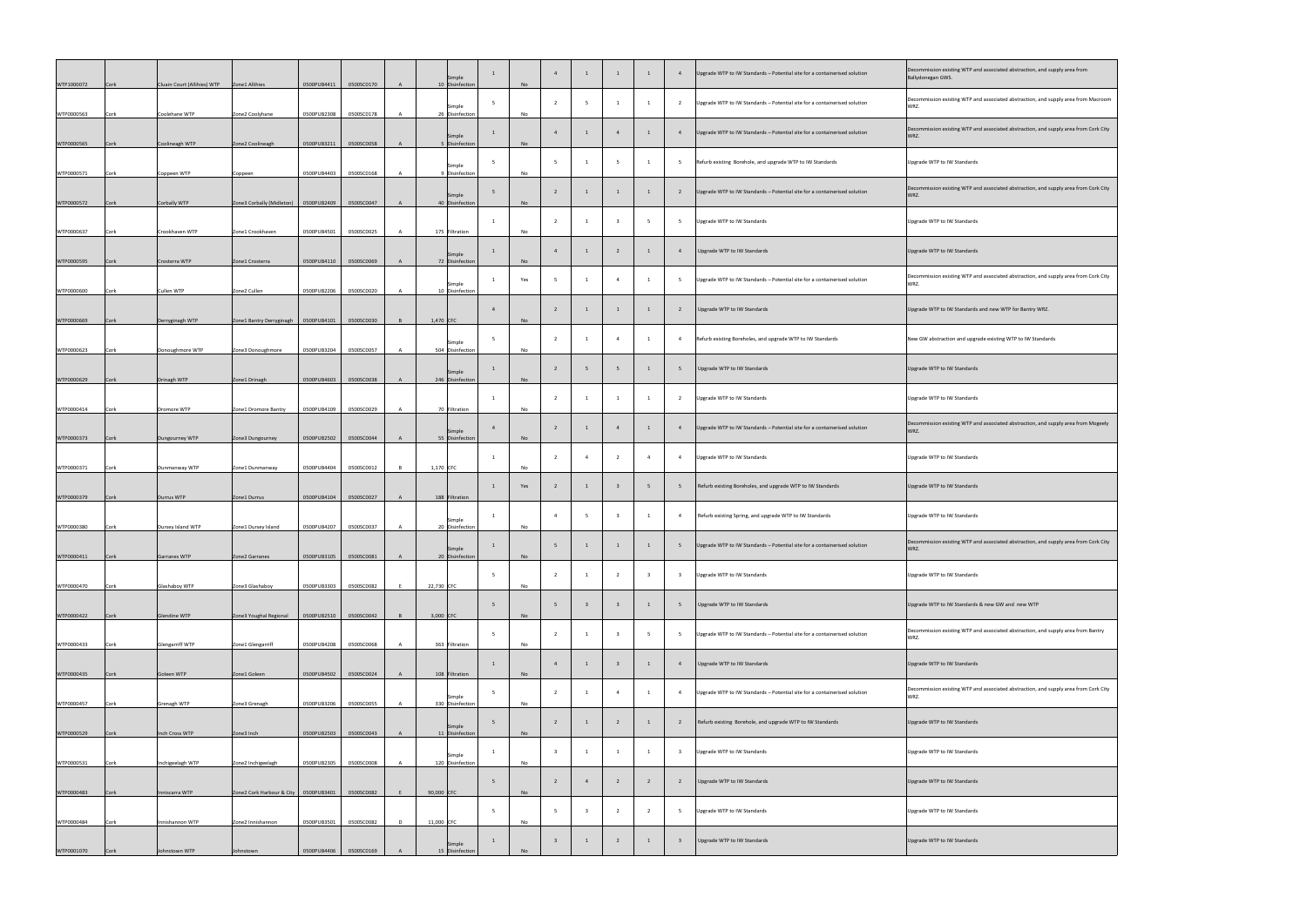| Decommission existing WTP and associated abstraction, and supply area from<br>Ballydonegan GWS. |
|-------------------------------------------------------------------------------------------------|
| Decommission existing WTP and associated abstraction, and supply area from Macroom<br>WRZ.      |
| Decommission existing WTP and associated abstraction, and supply area from Cork City<br>WRZ.    |
| <b>Upgrade WTP to IW Standards</b>                                                              |
| Decommission existing WTP and associated abstraction, and supply area from Cork City<br>WRZ.    |
| Upgrade WTP to IW Standards                                                                     |
| Upgrade WTP to IW Standards                                                                     |
| Decommission existing WTP and associated abstraction, and supply area from Cork City<br>WRZ.    |
| Upgrade WTP to IW Standards and new WTP for Bantry WRZ.                                         |
| New GW abstraction and upgrade existing WTP to IW Standards                                     |
| Upgrade WTP to IW Standards                                                                     |
| Upgrade WTP to IW Standards                                                                     |
| Decommission existing WTP and associated abstraction, and supply area from Mogeely<br>WRZ.      |
| <b>Upgrade WTP to IW Standards</b>                                                              |
| <b>Upgrade WTP to IW Standards</b>                                                              |
| <b>Upgrade WTP to IW Standards</b>                                                              |
| Decommission existing WTP and associated abstraction, and supply area from Cork City<br>WRZ.    |
| Upgrade WTP to IW Standards                                                                     |
| Upgrade WTP to IW Standards & new GW and new WTP                                                |
| Decommission existing WTP and associated abstraction, and supply area from Bantry<br>WRZ.       |
| Upgrade WTP to IW Standards                                                                     |
| Decommission existing WTP and associated abstraction, and supply area from Cork City<br>WRZ.    |
| Upgrade WTP to IW Standards                                                                     |
| Upgrade WTP to IW Standards                                                                     |
| Upgrade WTP to IW Standards                                                                     |
| Upgrade WTP to IW Standards                                                                     |
| Upgrade WTP to IW Standards                                                                     |

| WTP1000072 | Cork | Cluain Court (Allihies) WTP | Zone1 Allihies                          | 0500PUB4411 | 0500SC0170 |   |            | Simple<br>10 Disinfection  | <b>No</b> |                         |                |                         |                | Upgrade WTP to IW Standards - Potential site for a containerised solution | Decommission existing WTP and associated abstraction, and sup<br>Ballydonegan GWS. |
|------------|------|-----------------------------|-----------------------------------------|-------------|------------|---|------------|----------------------------|-----------|-------------------------|----------------|-------------------------|----------------|---------------------------------------------------------------------------|------------------------------------------------------------------------------------|
| WTP0000563 | Cork | Coolehane WTP               | Zone2 Coolyhane                         | 0500PUB2308 | 0500SC0178 |   |            | Simple<br>26 Disinfection  | No        |                         |                |                         |                | Upgrade WTP to IW Standards - Potential site for a containerised solution | Decommission existing WTP and associated abstraction, and sup<br>WRZ.              |
| WTP0000565 | Cork | Coolineagh WTP              | Zone2 Coolineagh                        | 0500PUB3211 | 0500SC0058 |   |            | Simple<br>5 Disinfection   | <b>No</b> |                         |                |                         |                | Upgrade WTP to IW Standards - Potential site for a containerised solution | Decommission existing WTP and associated abstraction, and sup<br>WRZ.              |
| WTP0000571 | Cork | Coppeen WTP                 | Coppeen                                 | 0500PUB4403 | 0500SC0168 |   |            | Simple<br>9 Disinfection   | No        |                         |                |                         |                | Refurb existing Borehole, and upgrade WTP to IW Standards                 | Upgrade WTP to IW Standards                                                        |
| WTP0000572 | Cork | Corbally WTP                | Zone3 Corbally (Midleton)               | 0500PUB2409 | 0500SC0047 |   |            | Simple<br>40 Disinfection  | No        |                         |                |                         |                | Upgrade WTP to IW Standards - Potential site for a containerised solution | Decommission existing WTP and associated abstraction, and sup<br>WRZ.              |
| WTP0000637 | Cork | Crookhaven WTP              | Zone1 Crookhaven                        | 0500PUB4501 | 0500SC0025 |   |            | 175 Filtration             | No        |                         |                |                         |                | Upgrade WTP to IW Standards                                               | Upgrade WTP to IW Standards                                                        |
| WTP0000595 | Cork | Crosterra WTP               | Zone1 Crosterra                         | 0500PUB4110 | 0500SC0069 |   |            | Simple<br>72 Disinfection  | <b>No</b> |                         |                |                         |                | Upgrade WTP to IW Standards                                               | Upgrade WTP to IW Standards                                                        |
| WTP0000600 | Cork | Cullen WTP                  | Zone2 Cullen                            | 0500PUB2206 | 0500SC0020 |   |            | Simple<br>10 Disinfection  | Yes       |                         |                |                         |                | Upgrade WTP to IW Standards - Potential site for a containerised solution | Decommission existing WTP and associated abstraction, and sup<br>WRZ.              |
|            |      |                             |                                         |             |            |   |            |                            |           |                         |                |                         |                | Upgrade WTP to IW Standards                                               | Upgrade WTP to IW Standards and new WTP for Bantry WRZ.                            |
| WTP0000669 | Cork | Derryginagh WTP             | Zone1 Bantry Derryginagh                | 0500PUB4101 | 0500SC0030 |   |            | $1,470$ CFC<br>Simple      | No        |                         |                |                         |                | Refurb existing Boreholes, and upgrade WTP to IW Standards                | New GW abstraction and upgrade existing WTP to IW Standards                        |
| WTP0000623 | Cork | Donoughmore WTP             | Zone3 Donoughmore                       | 0500PUB3204 | 0500SC0057 |   |            | 504 Disinfection<br>Simple | No        |                         |                |                         |                | Upgrade WTP to IW Standards                                               | Upgrade WTP to IW Standards                                                        |
| WTP0000629 | Cork | Drinagh WTP                 | Zone1 Drinagh                           | 0500PUB4603 | 0500SC0038 |   |            | 246 Disinfection           | No        |                         |                |                         |                | Upgrade WTP to IW Standards                                               | Upgrade WTP to IW Standards                                                        |
| WTP0000414 | Cork | Dromore WTP                 | Zone1 Dromore Bantry                    | 0500PUB4109 | 0500SC0029 |   |            | 70 Filtration<br>Simple    | No        |                         |                |                         |                | Upgrade WTP to IW Standards - Potential site for a containerised solution | Decommission existing WTP and associated abstraction, and sup<br>WRZ.              |
| WTP0000373 | Cork | Dungourney WTP              | Zone3 Dungourney                        | 0500PUB2502 | 0500SC0044 |   |            | 55 Disinfection            | <b>No</b> |                         |                | $\overline{4}$          | $\overline{4}$ | Upgrade WTP to IW Standards                                               | Upgrade WTP to IW Standards                                                        |
| WTP0000371 | Cork | Dunmanway WTP               | Zone1 Dunmanway                         | 0500PUB4404 | 0500SC0012 |   |            | $1,170$ CFC                | No<br>Yes |                         |                |                         |                | Refurb existing Boreholes, and upgrade WTP to IW Standards                | Upgrade WTP to IW Standards                                                        |
| WTP0000379 | Cork | Durrus WTP                  | Zone1 Durrus                            | 0500PUB4104 | 0500SC0027 |   |            | 188 Filtration<br>Simple   |           |                         |                |                         |                | Refurb existing Spring, and upgrade WTP to IW Standards                   | Upgrade WTP to IW Standards                                                        |
| WTP0000380 | Cork | Dursey Island WTP           | Zone1 Dursey Island                     | 0500PUB4207 | 0500SC0037 |   |            | 20 Disinfection<br>Simple  | No        |                         |                |                         |                | Upgrade WTP to IW Standards - Potential site for a containerised solution | Decommission existing WTP and associated abstraction, and sup<br>WRZ.              |
| WTP0000411 | Cork | Garranes WTP                | Zone2 Garranes                          | 0500PUB3105 | 0500SC0081 |   |            | 20 Disinfection            | No        |                         | - 2            | $\overline{\mathbf{3}}$ |                | Upgrade WTP to IW Standards                                               | Upgrade WTP to IW Standards                                                        |
| WTP0000470 | Cork | <b>Glashaboy WTP</b>        | Zone3 Glashaboy                         | 0500PUB3303 | 0500SC0082 |   | 22,730 CFC |                            | No        |                         |                |                         |                | Upgrade WTP to IW Standards                                               | Upgrade WTP to IW Standards & new GW and new WTP                                   |
| WTP0000422 | Cork | Glendine WTP                | Zone3 Youghal Regional                  | 0500PUB2510 | 0500SC0042 |   |            | $3,000$ CFC                | No        |                         |                | - 5                     |                | Upgrade WTP to IW Standards - Potential site for a containerised solution | Decommission existing WTP and associated abstraction, and sup<br>WRZ.              |
| WTP0000433 | Cork | <b>Glengarriff WTP</b>      | Zone1 Glengarriff                       | 0500PUB4208 | 0500SC0068 |   |            | 363 Filtration             | No        |                         |                |                         |                | Upgrade WTP to IW Standards                                               | Upgrade WTP to IW Standards                                                        |
| WTP0000435 | Cork | Goleen WTP                  | Zone1 Goleen                            | 0500PUB4502 | 0500SC0024 |   |            | 108 Filtration<br>Simple   | No        |                         |                | $\overline{1}$          |                | Upgrade WTP to IW Standards - Potential site for a containerised solution | Decommission existing WTP and associated abstraction, and sup<br>WRZ.              |
| WTP0000457 | Cork | <b>Grenagh WTP</b>          | Zone3 Grenagh                           | 0500PUB3206 | 0500SC0055 |   |            | 330 Disinfection           | No        |                         |                |                         |                | Refurb existing Borehole, and upgrade WTP to IW Standards                 | Upgrade WTP to IW Standards                                                        |
| WTP0000529 | Cork | Inch Cross WTP              | Zone3 Inch                              | 0500PUB2503 | 0500SC0043 |   |            | Simple<br>11 Disinfection  | No        | $\overline{\mathbf{3}}$ | $\overline{1}$ | $\overline{1}$          |                | 3 Upgrade WTP to IW Standards                                             | Upgrade WTP to IW Standards                                                        |
| WTP0000531 | Cork | Inchigeelagh WTP            | Zone2 Inchigeelagh                      | 0500PUB2305 | 0500SC0008 |   |            | Simple<br>120 Disinfection | No        |                         |                | $\overline{2}$          |                | Upgrade WTP to IW Standards                                               | Upgrade WTP to IW Standards                                                        |
| WTP0000483 | Cork | Inniscarra WTP              | Zone2 Cork Harbour & City   0500PUB3401 |             | 0500SC0082 |   | 90,000 CFC |                            | No        |                         |                | $\overline{2}$          | - 5            | Upgrade WTP to IW Standards                                               | Upgrade WTP to IW Standards                                                        |
| WTP0000484 | Cork | Innishannon WTP             | Zone2 Innishannon                       | 0500PUB3501 | 0500SC0082 | D | 11,000 CFC |                            | No        |                         |                |                         |                |                                                                           |                                                                                    |
| WTP0001070 | Cork | Johnstown WTP               | Johnstown                               | 0500PUB4406 | 0500SC0169 |   |            | Simple<br>15 Disinfection  | No        |                         |                |                         |                | Upgrade WTP to IW Standards                                               | Upgrade WTP to IW Standards                                                        |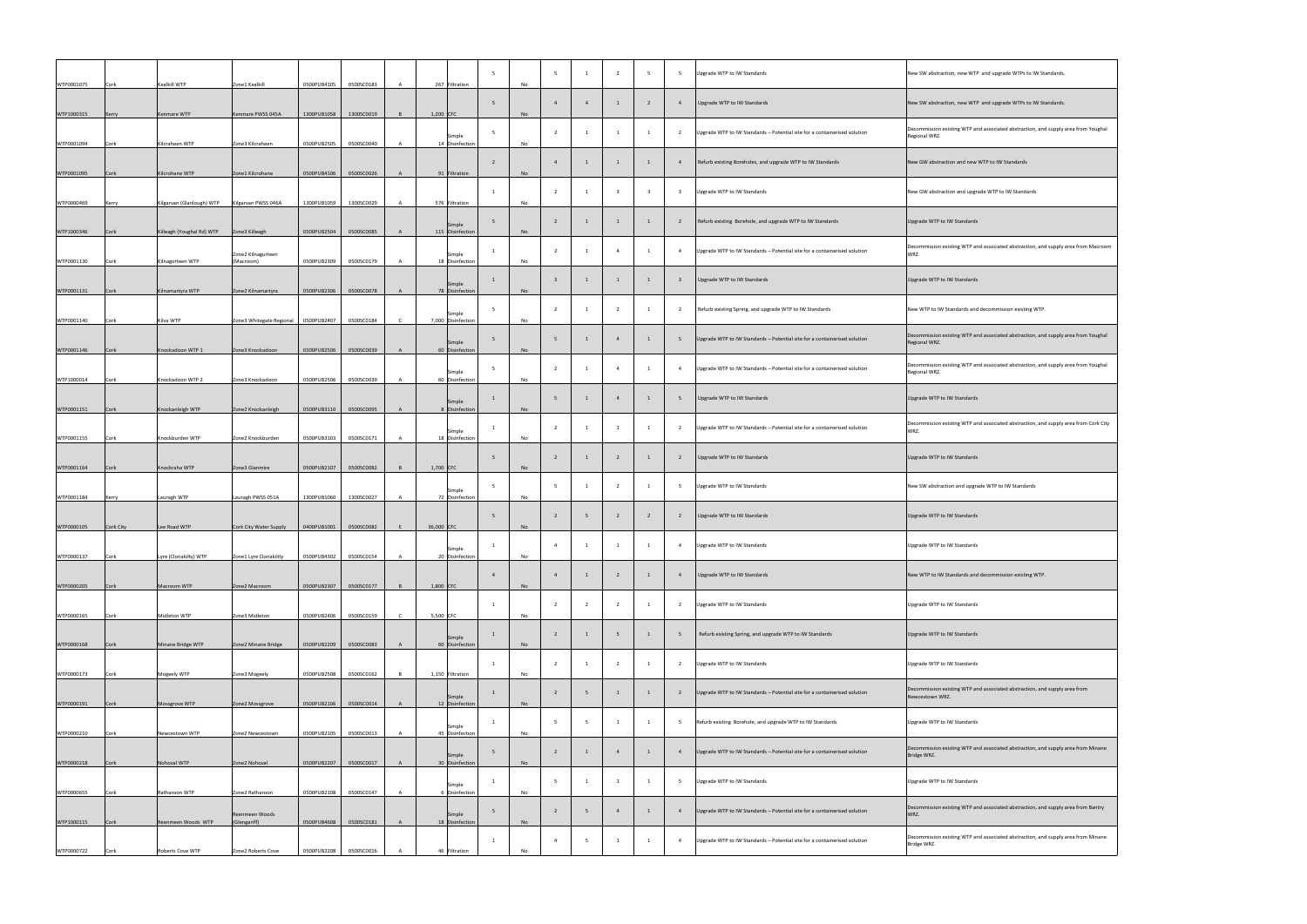| WTP0001075 | Cork        | Kealkill WTP              | Zone1 Kealkill                  | 0500PUB4105 | 0500SC0183 |               | 267 Filtration               |                | No        |                |                |                |                |                | Upgrade WTP to IW Standards                                               | New SW abstraction, new WTP and upgrade WTPs to IW Standards.                                       |
|------------|-------------|---------------------------|---------------------------------|-------------|------------|---------------|------------------------------|----------------|-----------|----------------|----------------|----------------|----------------|----------------|---------------------------------------------------------------------------|-----------------------------------------------------------------------------------------------------|
| WTP1000315 | Kerry       | Kenmare WTP               | Kenmare PWSS 045A               | 1300PUB1058 | 1300SC0019 |               | $1,200$ CFC                  |                | No        |                |                |                |                |                | Upgrade WTP to IW Standards                                               | New SW abstraction, new WTP and upgrade WTPs to IW Standards.                                       |
| WTP0001094 | Cork        | Kilcraheen WTP            | Zone3 Kilcraheen                | 0500PUB2505 | 0500SC0040 |               | Simple<br>14 Disinfection    |                | No        |                |                |                |                |                | Upgrade WTP to IW Standards - Potential site for a containerised solution | Decommission existing WTP and associated abstraction, and supply area from Youghal<br>Regional WRZ. |
| WTP0001095 | Cork        | Kilcrohane WTP            | Zone1 Kilcrohane                | 0500PUB4106 | 0500SC0026 |               | 91 Filtration                |                | <b>No</b> |                |                |                |                |                | Refurb existing Boreholes, and upgrade WTP to IW Standards                | New GW abstraction and new WTP to IW Standards                                                      |
| WTP0000469 | Kerry       | Kilgarvan (Glanlough) WTP | Kilgarvan PWSS 046A             | 1300PUB1059 | 1300SC0029 |               | 576 Filtration               |                | No        |                |                |                |                |                | Upgrade WTP to IW Standards                                               | New GW abstraction and upgrade WTP to IW Standards                                                  |
| WTP1000346 | Cork        | Killeagh (Youghal Rd) WTP | Zone3 Killeagh                  | 0500PUB2504 | 0500SC0085 |               | Simple<br>115 Disinfection   |                | No        |                |                |                |                |                | Refurb existing Borehole, and upgrade WTP to IW Standards                 | Upgrade WTP to IW Standards                                                                         |
| WTP0001130 | Cork        | Kilnagorteen WTP          | Zone2 Kilnagurteen<br>(Macroom) | 0500PUB2309 | 0500SC0179 |               | Simple<br>18 Disinfection    |                | No        |                |                |                |                |                | Upgrade WTP to IW Standards - Potential site for a containerised solution | Decommission existing WTP and associated abstraction, and supply area from Macroom<br>WRZ.          |
| WTP0001131 | Cork        | Kilnamartyra WTP          | Zone2 Kilnamartyra              | 0500PUB2306 | 0500SC0078 |               | Simple<br>78 Disinfection    |                | No        |                |                |                |                |                | Upgrade WTP to IW Standards                                               | Upgrade WTP to IW Standards                                                                         |
| WTP0001140 | Cork        | Kilva WTP                 | Zone3 Whitegate Regional        | 0500PUB2407 | 0500SC0184 |               | Simple<br>7,000 Disinfection |                | No        |                |                |                |                |                | Refurb existing Spring, and upgrade WTP to IW Standards                   | New WTP to IW Standards and decommission existing WTP.                                              |
| WTP0001146 | Cork        | Knockadoon WTP 1          | Zone3 Knockadoon                | 0500PUB2506 | 0500SC0039 |               | Simple<br>60 Disinfection    |                | <b>No</b> |                |                |                |                |                | Upgrade WTP to IW Standards - Potential site for a containerised solution | Decommission existing WTP and associated abstraction, and supply area from Youghal<br>Regional WRZ. |
| WTP1000014 | Cork        | Knockadoon WTP 2          | Zone3 Knockadoon                | 0500PUB2506 | 0500SC0039 |               | Simple<br>60 Disinfection    |                | No        |                |                |                |                |                | Upgrade WTP to IW Standards - Potential site for a containerised solution | Decommission existing WTP and associated abstraction, and supply area from Youghal<br>Regional WRZ. |
| WTP0001151 | Cork        | Knockanleigh WTP          | Zone2 Knockanleigh              | 0500PUB3110 | 0500SC0095 |               | Simple<br>8 Disinfection     |                | No        |                |                |                |                |                | Upgrade WTP to IW Standards                                               | Upgrade WTP to IW Standards                                                                         |
| WTP0001155 | Cork        | Knockburden WTP           | Zone2 Knockburden               | 0500PUB3103 | 0500SC0171 |               | Simple<br>18 Disinfection    |                | No        |                |                |                |                |                | Upgrade WTP to IW Standards - Potential site for a containerised solution | Decommission existing WTP and associated abstraction, and supply area from Cork City<br>WRZ.        |
| WTP0001164 | Cork        | Knockraha WTP             | Zone3 Glanmire                  | 0500PUB2107 | 0500SC0082 |               | $1,700$ CFC                  |                | No        |                |                |                |                |                | Upgrade WTP to IW Standards                                               | Upgrade WTP to IW Standards                                                                         |
| WTP0001184 | Kerry       | Lauragh WTP               | Lauragh PWSS 051A               | 1300PUB1060 | 1300SC0027 |               | Simple<br>72 Disinfection    |                | No        |                |                |                |                |                | Upgrade WTP to IW Standards                                               | New SW abstraction and upgrade WTP to IW Standards                                                  |
| WTP0000105 | Cork City   | Lee Road WTP              | Cork City Water Supply          | 0400PUB1001 | 0500SC0082 | 36,000 CFC    |                              |                | <b>No</b> |                |                |                |                |                | Upgrade WTP to IW Standards                                               | Upgrade WTP to IW Standards                                                                         |
| WTP0000137 | Cork        | Lyre (Clonakilty) WTP     | Zone1 Lyre Clonakility          | 0500PUB4302 | 0500SC0154 |               | Simple<br>20 Disinfection    |                | No        |                |                |                |                |                | Upgrade WTP to IW Standards                                               | Upgrade WTP to IW Standards                                                                         |
| WTP0000205 | <b>Cork</b> | Macroom WTP               | Zone2 Macroom                   | 0500PUB2307 | 0500SC0177 |               | $1,800$ CFC                  |                | No        |                |                |                |                |                | Upgrade WTP to IW Standards                                               | New WTP to IW Standards and decommission existing WTP.                                              |
| WTP0000165 | Cork        | Midleton WTP              | Zone3 Midleton                  | 0500PUB2406 | 0500SC0159 | $\mathcal{C}$ | 5,500 CFC                    |                | No        |                |                |                |                |                | Upgrade WTP to IW Standards                                               | Upgrade WTP to IW Standards                                                                         |
| WTP0000168 | Cork        | Minane Bridge WTP         | Zone2 Minane Bridge             | 0500PUB2209 | 0500SC0083 |               | Simple<br>60 Disinfection    |                | No        |                |                |                |                |                | Refurb existing Spring, and upgrade WTP to IW Standards                   | Upgrade WTP to IW Standards                                                                         |
| WTP0000173 | Cork        | Mogeely WTP               | Zone3 Mogeely                   | 0500PUB2508 | 0500SC0162 |               | 1,150 Filtration             |                | No        |                |                |                |                |                | Upgrade WTP to IW Standards                                               | Upgrade WTP to IW Standards                                                                         |
| WTP0000191 | <b>Cork</b> | Mossgrove WTP             | Zone2 Mossgrove                 | 0500PUB2106 | 0500SC0014 |               | Simple<br>12 Disinfection    |                | <b>No</b> |                |                |                |                |                | Upgrade WTP to IW Standards - Potential site for a containerised solution | Decommission existing WTP and associated abstraction, and supply area from<br>Newcestown WRZ.       |
| WTP0000210 | Cork        | Newcestown WTP            | Zone2 Newcestown                | 0500PUB2105 | 0500SC0013 |               | Simple<br>45 Disinfection    |                | No        |                | $-5$           |                |                |                | Refurb existing Borehole, and upgrade WTP to IW Standards                 | Upgrade WTP to IW Standards                                                                         |
| WTP0000218 | Cork        | Nohoval WTP               | Zone2 Nohoval                   | 0500PUB2207 | 0500SC0017 |               | Simple<br>30 Disinfection    | $\blacksquare$ | <b>No</b> | $2^{\circ}$    | $\overline{1}$ | $\overline{4}$ | $\blacksquare$ | $\overline{4}$ | Upgrade WTP to IW Standards - Potential site for a containerised solution | Decommission existing WTP and associated abstraction, and supply area from Minane<br>Bridge WRZ.    |
| WTP0000655 | Cork        | Ratharoon WTP             | Zone2 Ratharoon                 | 0500PUB2108 | 0500SC0147 |               | Simple<br>6 Disinfection     |                | No        | $\mathbf{F}$   |                |                |                | - 5            | Upgrade WTP to IW Standards                                               | Upgrade WTP to IW Standards                                                                         |
| WTP1000115 | Cork        | Reenmeen Woods WTP        | Reenmeen Woods<br>(Glengariff)  | 0500PUB4608 | 0500SC0181 |               | Simple<br>18 Disinfection    |                | <b>No</b> |                |                |                |                |                | Upgrade WTP to IW Standards - Potential site for a containerised solution | Decommission existing WTP and associated abstraction, and supply area from Bantry<br>WRZ.           |
| WTP0000722 | Cork        | <b>Roberts Cove WTP</b>   | Zone2 Roberts Cove              | 0500PUB2208 | 0500SC0016 |               | 46 Filtration                |                | No        | $\overline{4}$ |                |                |                | 4              | Upgrade WTP to IW Standards - Potential site for a containerised solution | Decommission existing WTP and associated abstraction, and supply area from Minane<br>Bridge WRZ.    |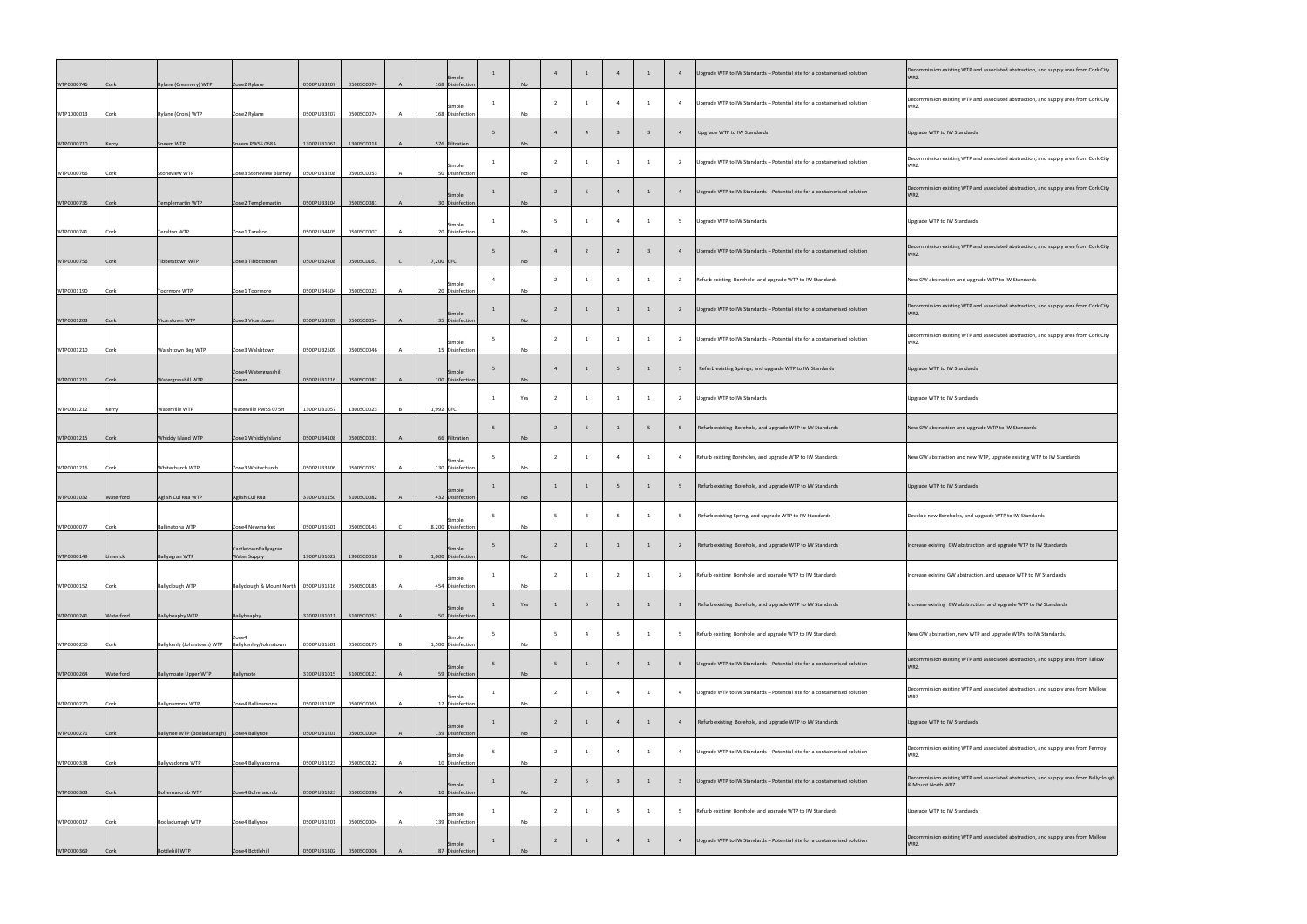| WTP0000746 | Cork      | Rylane (Creamery) WTP                              | Zone2 Rylane                            | 0500PUB3207                | 0500SC0074               | $\mathsf{A}$ | Simple<br>168 Disinfection       | <b>No</b> |  |                          | Upgrade WTP to IW Standards - Potential site for a containerised solution | Decommission existing WTP and associated abstraction, and supply area from<br>WRZ.             |
|------------|-----------|----------------------------------------------------|-----------------------------------------|----------------------------|--------------------------|--------------|----------------------------------|-----------|--|--------------------------|---------------------------------------------------------------------------|------------------------------------------------------------------------------------------------|
| WTP1000013 | Cork      | Rylane (Cross) WTP                                 | Zone2 Rylane                            | 0500PUB3207                | 0500SC0074               |              | Simple<br>168 Disinfection       | No        |  | $\overline{\phantom{0}}$ | Upgrade WTP to IW Standards - Potential site for a containerised solution | Decommission existing WTP and associated abstraction, and supply area fr<br>WRZ.               |
| WTP0000710 | Kerry     | Sneem WTP                                          | Sneem PWSS 068A                         | 1300PUB1061                | 1300SC0018               | $\mathsf{A}$ | 576 Filtration                   | No        |  |                          | Upgrade WTP to IW Standards                                               | Upgrade WTP to IW Standards                                                                    |
| WTP0000766 | Cork      | <b>Stoneview WTP</b>                               | Zone3 Stoneview Blarney                 | 0500PUB3208                | 0500SC0053               |              | Simple<br>50 Disinfection        | No        |  | $\overline{\phantom{0}}$ | Upgrade WTP to IW Standards - Potential site for a containerised solution | Decommission existing WTP and associated abstraction, and supply area fr<br>WRZ.               |
| WTP0000736 | Cork      | Templemartin WTP                                   | Zone2 Templemartin                      | 0500PUB3104                | 0500SC0081               | $\mathsf{A}$ | <b>Simple</b><br>30 Disinfection | <b>No</b> |  |                          | Upgrade WTP to IW Standards - Potential site for a containerised solution | Decommission existing WTP and associated abstraction, and supply area from<br>WRZ.             |
| WTP0000741 | Cork      | Terelton WTP                                       | Zone1 Tarelton                          | 0500PUB4405                | 0500SC0007               |              | Simple<br>20 Disinfection        | No        |  | $\overline{\phantom{0}}$ | Upgrade WTP to IW Standards                                               | Upgrade WTP to IW Standards                                                                    |
| WTP0000756 | Cork      | Tibbetstown WTP                                    | Zone3 Tibbotstown                       | 0500PUB2408                | 0500SC0161               | $\mathsf{C}$ | 7,200 CFC                        | No.       |  |                          | Upgrade WTP to IW Standards - Potential site for a containerised solution | Decommission existing WTP and associated abstraction, and supply area fr<br>WRZ.               |
| WTP0001190 | Cork      | Toormore WTP                                       | Zone1 Toormore                          | 0500PUB4504                | 0500SC0023               |              | Simple<br>20 Disinfection        | No        |  |                          | Refurb existing Borehole, and upgrade WTP to IW Standards                 | New GW abstraction and upgrade WTP to IW Standards                                             |
| WTP0001203 | Cork      | Vicarstown WTP                                     | Zone3 Vicarstown                        | 0500PUB3209                | 0500SC0054               | $\mathsf{A}$ | Simple<br>35 Disinfection        | No        |  |                          | Upgrade WTP to IW Standards - Potential site for a containerised solution | Decommission existing WTP and associated abstraction, and supply area fr<br>WRZ.               |
|            |           |                                                    |                                         |                            |                          |              | Simple                           | No        |  |                          | Upgrade WTP to IW Standards - Potential site for a containerised solution | Decommission existing WTP and associated abstraction, and supply area fr<br>WRZ.               |
| WTP0001210 | Cork      | <b>Walshtown Beg WTP</b>                           | Zone3 Walshtown<br>Zone4 Watergrasshill | 0500PUB2509                | 0500SC0046               |              | 15 Disinfection<br>Simple        | No        |  |                          | Refurb existing Springs, and upgrade WTP to IW Standards                  | Upgrade WTP to IW Standards                                                                    |
| WTP0001211 | Cork      | <b>Watergrasshill WTP</b><br><b>Waterville WTP</b> | Tower<br>Waterville PWSS 075H           | 0500PUB1216<br>1300PUB1057 | 0500SC0082<br>1300SC0023 | R.           | 100 Disinfection                 | Yes       |  |                          | Upgrade WTP to IW Standards                                               | Upgrade WTP to IW Standards                                                                    |
| WTP0001212 | Kerry     |                                                    |                                         |                            |                          | $\mathsf{A}$ | $1,992$ CFC                      |           |  |                          | Refurb existing Borehole, and upgrade WTP to IW Standards                 | New GW abstraction and upgrade WTP to IW Standards                                             |
| WTP0001215 | Cork      | Whiddy Island WTP                                  | Zone1 Whiddy Island                     | 0500PUB4108                | 0500SC0031               |              | 66 Filtration<br>Simple          | No        |  |                          | Refurb existing Boreholes, and upgrade WTP to IW Standards                | New GW abstraction and new WTP, upgrade existing WTP to IW Standards                           |
| WTP0001216 | Cork      | Whitechurch WTP                                    | Zone3 Whitechurch                       | 0500PUB3306                | 0500SC0051               | $\mathsf{A}$ | 130 Disinfection<br>Simple       | No        |  |                          | Refurb existing Borehole, and upgrade WTP to IW Standards                 | Upgrade WTP to IW Standards                                                                    |
| WTP0001032 | Waterford | Aglish Cul Rua WTP                                 | Aglish Cul Rua                          | 3100PUB1150                | 3100SC0082               |              | 432 Disinfection<br>Simple       | No        |  |                          | Refurb existing Spring, and upgrade WTP to IW Standards                   | Develop new Boreholes, and upgrade WTP to IW Standards                                         |
| WTP0000077 | Cork      | <b>Ballinatona WTP</b>                             | Zone4 Newmarket<br>CastletownBallyagran | 0500PUB1601                | 0500SC0143               | $\mathsf{C}$ | 8,200 Disinfection<br>Simple     | No        |  |                          | Refurb existing Borehole, and upgrade WTP to IW Standards                 | Increase existing GW abstraction, and upgrade WTP to IW Standards                              |
| WTP0000149 | Limerick  | Ballyagran WTP                                     | <b>Water Supply</b>                     | 1900PUB1022                | 1900SC0018               |              | 1,000 Disinfection<br>Simple     | No        |  | $\overline{1}$           | Refurb existing Borehole, and upgrade WTP to IW Standards                 | Increase existing GW abstraction, and upgrade WTP to IW Standards                              |
| WTP0000152 | Cork      | <b>Ballyclough WTP</b>                             | Ballyclough & Mount North   0500PUB1316 |                            | 0500SC0185               |              | 454 Disinfection<br>Simple       | No<br>Yes |  |                          | Refurb existing Borehole, and upgrade WTP to IW Standards                 | Increase existing GW abstraction, and upgrade WTP to IW Standards                              |
| WTP0000241 | Waterford | <b>Ballyheaphy WTP</b>                             | Ballyheaphy<br>Zone4                    | 3100PUB1011                | 3100SC0052               |              | 50 Disinfection<br>Simple        |           |  | $\overline{\phantom{0}}$ | Refurb existing Borehole, and upgrade WTP to IW Standards                 | New GW abstraction, new WTP and upgrade WTPs to IW Standards.                                  |
| WTP0000250 | Cork      | Ballykenly (Johnstown) WTP                         | Ballykenley/Johnstown                   | 0500PUB1501                | 0500SC0175               |              | 1,500 Disinfection<br>Simple     | No        |  |                          | Upgrade WTP to IW Standards - Potential site for a containerised solution | Decommission existing WTP and associated abstraction, and supply area from<br>WRZ.             |
| WTP0000264 | Waterford | <b>Ballymoate Upper WTP</b>                        | Ballymote                               | 3100PUB1015                | 3100SC0121               |              | 59 Disinfection<br>Simple        | <b>No</b> |  | $\overline{\phantom{0}}$ | Upgrade WTP to IW Standards - Potential site for a containerised solution | Decommission existing WTP and associated abstraction, and supply area fi<br>WRZ.               |
| WTP0000270 | Cork      | Ballynamona WTP                                    | Zone4 Ballinamona                       | 0500PUB1305                | 0500SC0065               |              | 12 Disinfection<br>Simple        | No        |  |                          | Refurb existing Borehole, and upgrade WTP to IW Standards                 | Upgrade WTP to IW Standards                                                                    |
| WTP0000271 | Cork      | Ballynoe WTP (Booladurragh)   Zone4 Ballynoe       |                                         | 0500PUB1201                | 0500SC0004               | $\mathsf{A}$ | 139 Disinfection<br>Simple       | No        |  |                          | Upgrade WTP to IW Standards - Potential site for a containerised solution | Decommission existing WTP and associated abstraction, and supply area fr<br>WRZ.               |
| WTP0000338 | Cork      | Ballyvadonna WTP                                   | Zone4 Ballyvadonna                      | 0500PUB1223                | 0500SC0122               |              | 10 Disinfection<br>Simple        | No        |  |                          | Upgrade WTP to IW Standards - Potential site for a containerised solution | Decommission existing WTP and associated abstraction, and supply area fi<br>& Mount North WRZ. |
| WTP0000303 | Cork      | Bohernascrub WTP                                   | Zone4 Boherascrub                       | 0500PUB1323                | 0500SC0096               |              | 10 Disinfection<br>Simple        | <b>No</b> |  |                          | Refurb existing Borehole, and upgrade WTP to IW Standards                 | Upgrade WTP to IW Standards                                                                    |
| WTP0000017 | Cork      | Booladurragh WTP                                   | Zone4 Ballynoe                          | 0500PUB1201                | 0500SC0004               |              | 139 Disinfection<br>Simple       | No        |  |                          | Upgrade WTP to IW Standards - Potential site for a containerised solution | Decommission existing WTP and associated abstraction, and supply area fr<br>WRZ.               |
| WTP0000369 | Cork      | Bottlehill WTP                                     | Zone4 Bottlehill                        | 0500PUB1302                | 0500SC0006               |              | 87 Disinfection                  | No        |  |                          |                                                                           |                                                                                                |

| Decommission existing WTP and associated abstraction, and supply area from Cork City<br>WRZ.                 |
|--------------------------------------------------------------------------------------------------------------|
| Decommission existing WTP and associated abstraction, and supply area from Cork City<br>WRZ.                 |
| Upgrade WTP to IW Standards                                                                                  |
| Decommission existing WTP and associated abstraction, and supply area from Cork City<br>WRZ.                 |
| Decommission existing WTP and associated abstraction, and supply area from Cork City<br>WRZ.                 |
| Upgrade WTP to IW Standards                                                                                  |
| Decommission existing WTP and associated abstraction, and supply area from Cork City<br>WRZ.                 |
| New GW abstraction and upgrade WTP to IW Standards                                                           |
| Decommission existing WTP and associated abstraction, and supply area from Cork City<br>WRZ.                 |
| Decommission existing WTP and associated abstraction, and supply area from Cork City<br>WRZ.                 |
| <b>Upgrade WTP to IW Standards</b>                                                                           |
| Upgrade WTP to IW Standards                                                                                  |
| New GW abstraction and upgrade WTP to IW Standards                                                           |
| New GW abstraction and new WTP, upgrade existing WTP to IW Standards                                         |
| Upgrade WTP to IW Standards                                                                                  |
| Develop new Boreholes, and upgrade WTP to IW Standards                                                       |
| Increase existing GW abstraction, and upgrade WTP to IW Standards                                            |
| Increase existing GW abstraction, and upgrade WTP to IW Standards                                            |
| Increase existing GW abstraction, and upgrade WTP to IW Standards                                            |
| New GW abstraction, new WTP and upgrade WTPs to IW Standards.                                                |
| Decommission existing WTP and associated abstraction, and supply area from Tallow<br>WRZ.                    |
| Decommission existing WTP and associated abstraction, and supply area from Mallow<br>WRZ.                    |
| Upgrade WTP to IW Standards                                                                                  |
| Decommission existing WTP and associated abstraction, and supply area from Fermoy<br>WRZ.                    |
| Decommission existing WTP and associated abstraction, and supply area from Ballyclough<br>& Mount North WRZ. |
| Upgrade WTP to IW Standards                                                                                  |
| Decommission existing WTP and associated abstraction, and supply area from Mallow<br>WRZ.                    |
|                                                                                                              |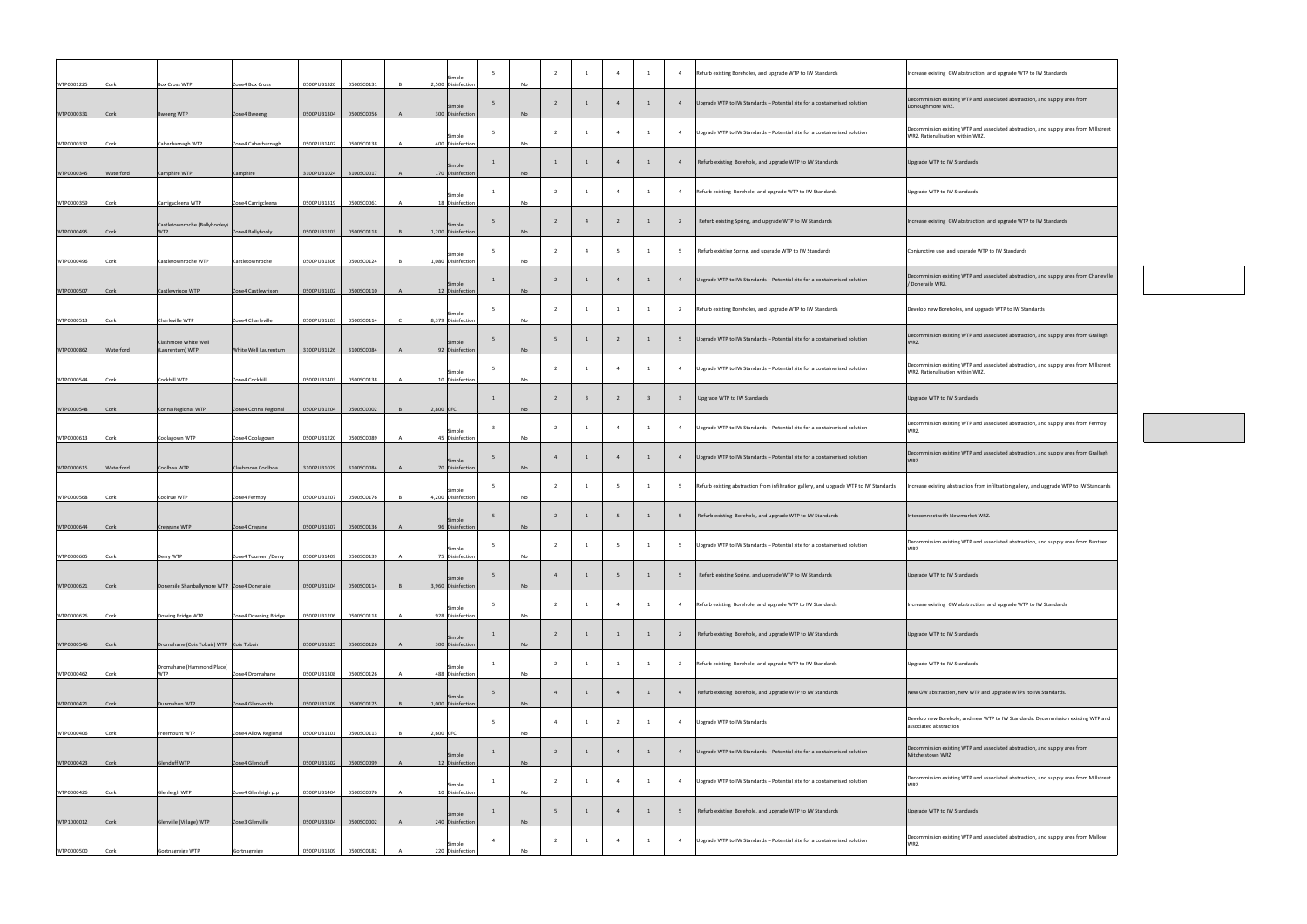| WTP0001225 | Cork        | <b>Box Cross WTP</b>                          | Zone4 Box Cross      | 0500PUB1320 | 0500SC0131 | Simple<br>2,500 Disinfection | No        |                | 1 | $\overline{4}$ | Refurb existing Boreholes, and upgrade WTP to IW Standards                             | Increase existing GW abstraction, and upgrade WTP to IW Standards                                                        |
|------------|-------------|-----------------------------------------------|----------------------|-------------|------------|------------------------------|-----------|----------------|---|----------------|----------------------------------------------------------------------------------------|--------------------------------------------------------------------------------------------------------------------------|
| WTP0000331 | Cork        | <b>Bweeng WTP</b>                             | Zone4 Bweeng         | 0500PUB1304 | 0500SC0056 | Simple<br>300 Disinfection   | <b>No</b> |                |   |                | Upgrade WTP to IW Standards - Potential site for a containerised solution              | Decommission existing WTP and associated abstraction, and supply area from<br>Donoughmore WRZ.                           |
| WTP0000332 | Cork        | Caherbarnagh WTP                              | Zone4 Caherbarnagh   | 0500PUB1402 | 0500SC0138 | Simple<br>400 Disinfection   | No        |                |   | $\overline{4}$ | Upgrade WTP to IW Standards - Potential site for a containerised solution              | Decommission existing WTP and associated abstraction, and supply area from Millstree<br>WRZ. Rationalisation within WRZ. |
| WTP0000345 | Waterford   | Camphire WTP                                  | Camphire             | 3100PUB1024 | 3100SC0017 | Simple<br>170 Disinfection   | <b>No</b> |                |   |                | Refurb existing Borehole, and upgrade WTP to IW Standards                              | Upgrade WTP to IW Standards                                                                                              |
| WTP0000359 | Cork        | Carrigacleena WTP                             | Zone4 Carrigcleena   | 0500PUB1319 | 0500SC0061 | Simple<br>18 Disinfection    | No        |                |   | $\overline{4}$ | Refurb existing Borehole, and upgrade WTP to IW Standards                              | Upgrade WTP to IW Standards                                                                                              |
| WTP0000495 | Cork        | Castletownroche (Ballyhooley)<br><b>WTP</b>   | Zone4 Ballyhooly     | 0500PUB1203 | 0500SC0118 | Simple<br>1,200 Disinfection | <b>No</b> |                |   |                | Refurb existing Spring, and upgrade WTP to IW Standards                                | Increase existing GW abstraction, and upgrade WTP to IW Standards                                                        |
| WTP0000496 | Cork        | Castletownroche WTP                           | Castletownroche      | 0500PUB1306 | 0500SC0124 | Simple<br>1,080 Disinfection | No        |                |   |                | Refurb existing Spring, and upgrade WTP to IW Standards                                | Conjunctive use, and upgrade WTP to IW Standards                                                                         |
| WTP0000507 | Cork        | Castlewrixon WTP                              | Zone4 Castlewrixon   | 0500PUB1102 | 0500SC0110 | Simple<br>12 Disinfection    | <b>No</b> |                |   |                | Upgrade WTP to IW Standards - Potential site for a containerised solution              | Decommission existing WTP and associated abstraction, and supply area from Charlevill<br>/ Doneraile WRZ.                |
| WTP0000513 | Cork        | Charleville WTP                               | Zone4 Charleville    | 0500PUB1103 | 0500SC0114 | Simple<br>8,379 Disinfection | No        |                |   |                | Refurb existing Boreholes, and upgrade WTP to IW Standards                             | Develop new Boreholes, and upgrade WTP to IW Standards                                                                   |
| WTP0000862 | Waterford   | Clashmore White Well<br>(Laurentum) WTP       | White Well Laurentum | 3100PUB1126 | 3100SC0084 | Simple<br>92 Disinfection    | No        |                |   |                | Upgrade WTP to IW Standards - Potential site for a containerised solution              | Decommission existing WTP and associated abstraction, and supply area from Grallagh<br>WRZ.                              |
| WTP0000544 | Cork        | Cockhill WTP                                  | Zone4 Cockhill       | 0500PUB1403 | 0500SC0138 | Simple<br>10 Disinfection    | No        |                |   | $\overline{4}$ | Upgrade WTP to IW Standards - Potential site for a containerised solution              | Decommission existing WTP and associated abstraction, and supply area from Millstree<br>WRZ. Rationalisation within WRZ. |
| WTP0000548 | Cork        | Conna Regional WTP                            | Zone4 Conna Regional | 0500PUB1204 | 0500SC0002 | $2,800$ CFC                  | No        |                |   |                | Upgrade WTP to IW Standards                                                            | Upgrade WTP to IW Standards                                                                                              |
| WTP0000613 | Cork        | Coolagown WTP                                 | Zone4 Coolagown      | 0500PUB1220 | 0500SC0089 | Simple<br>45 Disinfection    | No        |                |   | $\overline{4}$ | Upgrade WTP to IW Standards - Potential site for a containerised solution              | Decommission existing WTP and associated abstraction, and supply area from Fermoy<br>WRZ.                                |
| WTP0000615 | Waterford   | Coolboa WTP                                   | Clashmore Coolboa    | 3100PUB1029 | 3100SC0084 | Simple<br>70 Disinfection    | <b>No</b> |                |   |                | Upgrade WTP to IW Standards - Potential site for a containerised solution              | Decommission existing WTP and associated abstraction, and supply area from Grallagh<br>WRZ.                              |
| WTP0000568 | Cork        | Coolrue WTP                                   | Zone4 Fermoy         | 0500PUB1207 | 0500SC0176 | Simple<br>4,200 Disinfection | No        |                |   |                | Refurb existing abstraction from infiltration gallery, and upgrade WTP to IW Standards | Increase existing abstraction from infiltration gallery, and upgrade WTP to IW Standards                                 |
| WTP0000644 | Cork        | <b>Creggane WTP</b>                           | Zone4 Cregane        | 0500PUB1307 | 0500SC0136 | Simple<br>96 Disinfection    | <b>No</b> |                |   |                | Refurb existing Borehole, and upgrade WTP to IW Standards                              | Interconnect with Newmarket WRZ.                                                                                         |
| WTP0000605 | Cork        | Derry WTP                                     | Zone4 Toureen /Derry | 0500PUB1409 | 0500SC0139 | Simple<br>75 Disinfection    | No        |                |   | 5              | Upgrade WTP to IW Standards - Potential site for a containerised solution              | Decommission existing WTP and associated abstraction, and supply area from Banteer<br>WRZ.                               |
| WTP0000621 | Cork        | Doneraile Shanballymore WTP   Zone4 Doneraile |                      | 0500PUB1104 | 0500SC0114 | Simple<br>3,960 Disinfection | <b>No</b> |                |   |                | Refurb existing Spring, and upgrade WTP to IW Standards                                | Upgrade WTP to IW Standards                                                                                              |
| WTP0000626 | Cork        | Dowing Bridge WTP                             | Zone4 Downing Bridge | 0500PUB1206 | 0500SC0118 | Simple<br>928 Disinfection   | No        |                |   | $\overline{4}$ | Refurb existing Borehole, and upgrade WTP to IW Standards                              | Increase existing GW abstraction, and upgrade WTP to IW Standards                                                        |
| WTP0000546 | Cork        | Dromahane (Cois Tobair) WTP Cois Tobair       |                      | 0500PUB1325 | 0500SC0126 | Simple<br>300 Disinfection   | <b>No</b> |                |   |                | Refurb existing Borehole, and upgrade WTP to IW Standards                              | Upgrade WTP to IW Standards                                                                                              |
| WTP0000462 | Cork        | Dromahane (Hammond Place)<br><b>WTP</b>       | Zone4 Dromahane      | 0500PUB1308 | 0500SC0126 | Simple<br>488 Disinfection   | No        |                |   |                | Refurb existing Borehole, and upgrade WTP to IW Standards                              | Upgrade WTP to IW Standards                                                                                              |
| WTP0000421 | Cork        | Dunmahon WTP                                  | Zone4 Glanworth      | 0500PUB1509 | 0500SC0175 | Simple<br>1,000 Disinfection | <b>No</b> |                |   |                | Refurb existing Borehole, and upgrade WTP to IW Standards                              | New GW abstraction, new WTP and upgrade WTPs to IW Standards.                                                            |
| WTP0000406 | <b>Cork</b> | Freemount WTP                                 | Zone4 Allow Regional | 0500PUB1101 | 0500SC0113 | $2,600$ CFC                  | No        |                |   | $\overline{4}$ | Upgrade WTP to IW Standards                                                            | Develop new Borehole, and new WTP to IW Standards. Decommission existing WTP and<br>associated abstraction               |
| WTP0000423 | Cork        | <b>Glenduff WTP</b>                           | Zone4 Glenduff       | 0500PUB1502 | 0500SC0099 | Simple<br>12 Disinfection    | <b>No</b> | $\overline{1}$ |   | $\overline{4}$ | Upgrade WTP to IW Standards $-$ Potential site for a containerised solution            | Decommission existing WTP and associated abstraction, and supply area from<br>Mitchelstown WRZ                           |
| WTP0000426 | <b>Cork</b> | Glenleigh WTP                                 | Zone4 Glenleigh p.p  | 0500PUB1404 | 0500SC0076 | Simple<br>10 Disinfection    | No        |                |   | $\overline{4}$ | Upgrade WTP to IW Standards - Potential site for a containerised solution              | Decommission existing WTP and associated abstraction, and supply area from Millstree<br>WRZ.                             |
| WTP1000012 | Cork        | Glenville (Village) WTP                       | Zone3 Glenville      | 0500PUB3304 | 0500SC0002 | Simple<br>240 Disinfection   | No        |                |   |                | Refurb existing Borehole, and upgrade WTP to IW Standards                              | Upgrade WTP to IW Standards                                                                                              |
| WTP0000500 | Cork        | Gortnagreige WTP                              | Gortnagreige         | 0500PUB1309 | 0500SC0182 | Simple<br>220 Disinfection   | No        |                |   | $\overline{4}$ | Upgrade WTP to IW Standards - Potential site for a containerised solution              | Decommission existing WTP and associated abstraction, and supply area from Mallow<br>WRZ.                                |
|            |             |                                               |                      |             |            |                              |           |                |   |                |                                                                                        |                                                                                                                          |

| Increase existing GW abstraction, and upgrade WTP to IW Standards                                                         |
|---------------------------------------------------------------------------------------------------------------------------|
| Decommission existing WTP and associated abstraction, and supply area from<br>Donoughmore WRZ.                            |
| Decommission existing WTP and associated abstraction, and supply area from Millstreet<br>WRZ. Rationalisation within WRZ. |
| <b>Upgrade WTP to IW Standards</b>                                                                                        |
| Upgrade WTP to IW Standards                                                                                               |
| Increase existing GW abstraction, and upgrade WTP to IW Standards                                                         |
| Conjunctive use, and upgrade WTP to IW Standards                                                                          |
| Decommission existing WTP and associated abstraction, and supply area from Charleville<br>/ Doneraile WRZ.                |
| Develop new Boreholes, and upgrade WTP to IW Standards                                                                    |
| Decommission existing WTP and associated abstraction, and supply area from Grallagh<br>WRZ.                               |
| Decommission existing WTP and associated abstraction, and supply area from Millstreet<br>WRZ. Rationalisation within WRZ. |
| Upgrade WTP to IW Standards                                                                                               |
| Decommission existing WTP and associated abstraction, and supply area from Fermoy<br>WRZ.                                 |
| Decommission existing WTP and associated abstraction, and supply area from Grallagh<br>WRZ.                               |
| Increase existing abstraction from infiltration gallery, and upgrade WTP to IW Standards                                  |
| Interconnect with Newmarket WRZ.                                                                                          |
| Decommission existing WTP and associated abstraction, and supply area from Banteer<br>WRZ.                                |
| <b>Upgrade WTP to IW Standards</b>                                                                                        |
| Increase existing GW abstraction, and upgrade WTP to IW Standards                                                         |
| <b>Upgrade WTP to IW Standards</b>                                                                                        |
| Upgrade WTP to IW Standards                                                                                               |
| New GW abstraction, new WTP and upgrade WTPs to IW Standards.                                                             |
| Develop new Borehole, and new WTP to IW Standards. Decommission existing WTP and<br>associated abstraction                |
| Decommission existing WTP and associated abstraction, and supply area from<br>Mitchelstown WRZ                            |
| Decommission existing WTP and associated abstraction, and supply area from Millstreet<br>WRZ.                             |
| Upgrade WTP to IW Standards                                                                                               |
| Decommission existing WTP and associated abstraction, and supply area from Mallow<br>WRZ.                                 |
|                                                                                                                           |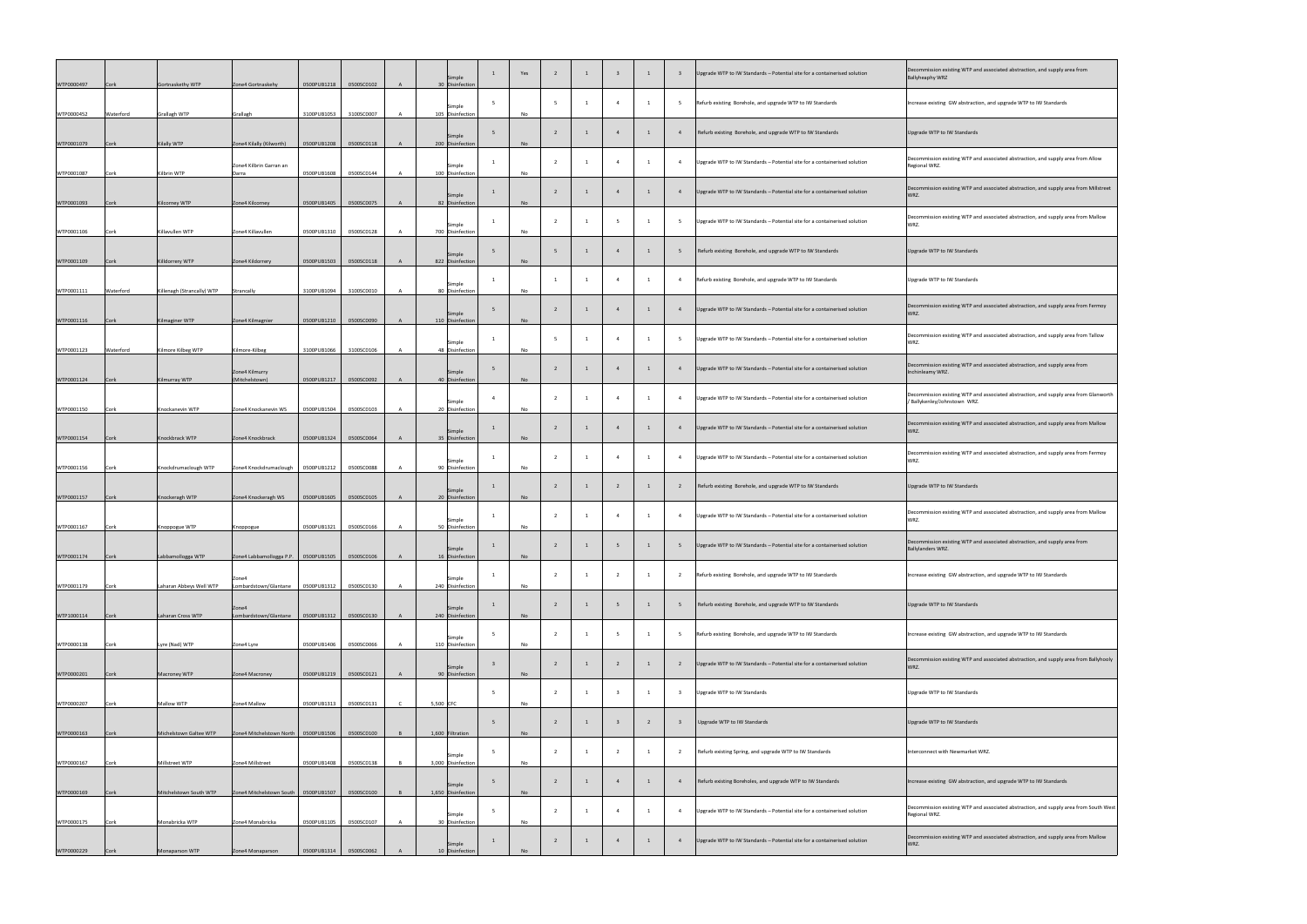| WTP0000497 | Cork        | Gortnaskethy WTP           | Zone4 Gortnaskehy                               | 0500PUB1218 | 0500SC0102               | Simple<br>30 Disinfection    |   | Yes       |   |                |                |   |                | Upgrade WTP to IW Standards - Potential site for a containerised solution | Decommission existing WTP and associated abstraction, and supply a<br><b>Ballyheaphy WRZ</b>       |
|------------|-------------|----------------------------|-------------------------------------------------|-------------|--------------------------|------------------------------|---|-----------|---|----------------|----------------|---|----------------|---------------------------------------------------------------------------|----------------------------------------------------------------------------------------------------|
| WTP0000452 | Waterford   | <b>Grallagh WTP</b>        | Grallagh                                        | 3100PUB1053 | 3100SC0007               | Simple<br>105 Disinfection   |   | No        |   |                |                |   |                | Refurb existing Borehole, and upgrade WTP to IW Standards                 | Increase existing GW abstraction, and upgrade WTP to IW Standards                                  |
| WTP0001079 | Cork        | <b>Kilally WTP</b>         | Zone4 Kilally (Kilworth)                        | 0500PUB1208 | 0500SC0118               | Simple<br>200 Disinfection   |   | <b>No</b> |   |                |                |   |                | Refurb existing Borehole, and upgrade WTP to IW Standards                 | Upgrade WTP to IW Standards                                                                        |
| WTP0001087 | <b>Cork</b> | Kilbrin WTP                | Zone4 Kilbrin Garran an<br>Darra                | 0500PUB1608 | 0500SC0144               | Simple<br>100 Disinfection   |   | No        |   |                |                |   |                | Upgrade WTP to IW Standards - Potential site for a containerised solution | Decommission existing WTP and associated abstraction, and supply a<br>Regional WRZ.                |
| WTP0001093 | Cork        | Kilcorney WTP              | Zone4 Kilcorney                                 | 0500PUB1405 | 0500SC0075               | Simple<br>82 Disinfection    |   | <b>No</b> |   |                |                |   |                | Upgrade WTP to IW Standards - Potential site for a containerised solution | Decommission existing WTP and associated abstraction, and supply a<br>WRZ.                         |
| WTP0001106 | Cork        | Killavullen WTP            | Zone4 Killavullen                               | 0500PUB1310 | 0500SC0128               | Simple<br>700 Disinfection   |   | No        |   |                |                |   |                | Upgrade WTP to IW Standards - Potential site for a containerised solution | Decommission existing WTP and associated abstraction, and supply a<br>WRZ.                         |
| WTP0001109 | Cork        | Killdorrery WTP            | Zone4 Kildorrery                                | 0500PUB1503 | 0500SC0118               | Simple<br>822 Disinfection   |   | <b>No</b> |   |                |                |   |                | Refurb existing Borehole, and upgrade WTP to IW Standards                 | Upgrade WTP to IW Standards                                                                        |
| WTP0001111 | Waterford   |                            | Strancally                                      | 3100PUB1094 | 3100SC0010               | Simple<br>80 Disinfection    |   | <b>No</b> |   |                |                |   |                | Refurb existing Borehole, and upgrade WTP to IW Standards                 | Upgrade WTP to IW Standards                                                                        |
|            |             | Killenagh (Strancally) WTP |                                                 |             |                          | Simple                       |   |           |   |                |                |   |                | Upgrade WTP to IW Standards - Potential site for a containerised solution | Decommission existing WTP and associated abstraction, and supply a<br>WRZ.                         |
| WTP0001116 | Cork        | Kilmaginer WTP             | Zone4 Kilmagnier                                | 0500PUB1210 | 0500SC0090               | 110 Disinfection<br>Simple   |   | <b>No</b> |   |                |                |   |                | Upgrade WTP to IW Standards - Potential site for a containerised solution | Decommission existing WTP and associated abstraction, and supply a<br>WRZ.                         |
| WTP0001123 | Waterford   | Kilmore Kilbeg WTP         | Kilmore-Kilbeg<br>Zone4 Kilmurry                | 3100PUB1066 | 3100SC0106               | 48 Disinfection<br>Simple    |   | No        |   |                |                |   |                | Upgrade WTP to IW Standards - Potential site for a containerised solution | Decommission existing WTP and associated abstraction, and supply a<br>Inchinleamy WRZ.             |
| WTP0001124 | Cork        | Kilmurray WTP              | (Mitchelstown)                                  | 0500PUB1217 | 0500SC0092<br>0500SC0103 | 40 Disinfection<br>Simple    |   | <b>No</b> |   |                |                |   |                | Upgrade WTP to IW Standards - Potential site for a containerised solution | Decommission existing WTP and associated abstraction, and supply a<br>/ Ballykenley/Johnstown WRZ. |
| WTP0001150 | Cork        | Knockanevin WTP            | Zone4 Knockanevin WS                            | 0500PUB1504 |                          | 20 Disinfection<br>Simple    |   | No.       |   |                |                |   |                | Upgrade WTP to IW Standards - Potential site for a containerised solution | Decommission existing WTP and associated abstraction, and supply a<br>WRZ.                         |
| WTP0001154 | Cork        | Knockbrack WTP             | Zone4 Knockbrack                                | 0500PUB1324 | 0500SC0064               | 35 Disinfection<br>Simple    |   | <b>No</b> |   |                |                |   |                | Upgrade WTP to IW Standards - Potential site for a containerised solution | Decommission existing WTP and associated abstraction, and supply a<br>WRZ.                         |
| WTP0001156 | Cork        | Knockdrumaclough WTP       | Zone4 Knockdrumaclough   0500PUB1212            |             | 0500SC0088               | 90 Disinfection<br>Simple    |   | No        |   |                |                |   |                | Refurb existing Borehole, and upgrade WTP to IW Standards                 | Upgrade WTP to IW Standards                                                                        |
| WTP0001157 | <b>Cork</b> | Knockeragh WTP             | Zone4 Knockeragh WS                             | 0500PUB1605 | 0500SC0105               | 20 Disinfection<br>Simple    |   | No        |   |                |                |   |                | Upgrade WTP to IW Standards - Potential site for a containerised solution | Decommission existing WTP and associated abstraction, and supply a<br>WRZ.                         |
| WTP0001167 | Cork        | Knoppogue WTP              | Knoppogue                                       | 0500PUB1321 | 0500SC0166               | 50 Disinfection<br>Simple    |   | No        |   |                |                |   |                | Upgrade WTP to IW Standards - Potential site for a containerised solution | Decommission existing WTP and associated abstraction, and supply a<br>Ballylanders WRZ.            |
| WTP0001174 | Cork        | Labbamollogga WTP          | Zone4 Labbamollogga P.P.   0500PUB1505<br>Zone4 |             | 0500SC0106               | 16 Disinfection<br>Simple    |   | No        |   |                |                |   |                | Refurb existing Borehole, and upgrade WTP to IW Standards                 | Increase existing GW abstraction, and upgrade WTP to IW Standards                                  |
| WTP0001179 | <b>Cork</b> | Laharan Abbeys Well WTP    | Lombardstown/Glantane<br>Zone4                  | 0500PUB1312 | 0500SC0130               | 240 Disinfection<br>Simple   |   | No        |   |                |                |   |                | Refurb existing Borehole, and upgrade WTP to IW Standards                 | Upgrade WTP to IW Standards                                                                        |
| WTP1000114 | Cork        | Laharan Cross WTP          | Lombardstown/Glantane                           | 0500PUB1312 | 0500SC0130               | 240 Disinfection<br>Simple   | 5 | No        |   |                |                |   |                | Refurb existing Borehole, and upgrade WTP to IW Standards                 | Increase existing GW abstraction, and upgrade WTP to IW Standards                                  |
| WTP0000138 | Cork        | Lyre (Nad) WTP             | Zone4 Lyre                                      | 0500PUB1406 | 0500SC0066               | 110 Disinfection<br>Simple   |   | No        |   |                |                |   |                | Upgrade WTP to IW Standards - Potential site for a containerised solution | Decommission existing WTP and associated abstraction, and supply a<br>WRZ.                         |
| WTP0000201 | Cork        | Macroney WTP               | Zone4 Macroney                                  | 0500PUB1219 | 0500SC0121               | 90 Disinfection              |   | No        |   |                |                |   |                | Upgrade WTP to IW Standards                                               | Upgrade WTP to IW Standards                                                                        |
| WTP0000207 | <b>Cork</b> | Mallow WTP                 | Zone4 Mallow                                    | 0500PUB1313 | 0500SC0131               | 5,500 CFC                    |   | No        |   |                |                |   |                | Upgrade WTP to IW Standards                                               | Upgrade WTP to IW Standards                                                                        |
| WTP0000163 | Cork        | Michelstown Galtee WTP     | Zone4 Mitchelstown North   0500PUB1506          |             | 0500SC0100               | 1,600 Filtration<br>Simple   |   | No        | ຳ | $\overline{1}$ | $\overline{2}$ | 1 | $\overline{2}$ | Refurb existing Spring, and upgrade WTP to IW Standards                   | Interconnect with Newmarket WRZ.                                                                   |
| WTP0000167 | Cork        | Millstreet WTP             | Zone4 Millstreet                                | 0500PUB1408 | 0500SC0138               | 3,000 Disinfection<br>Simple |   | No        |   |                |                |   |                | Refurb existing Boreholes, and upgrade WTP to IW Standards                | Increase existing GW abstraction, and upgrade WTP to IW Standards                                  |
| WTP0000169 | Cork        | Mitchelstown South WTP     | Zone4 Mitchelstown South   0500PUB1507          |             | 0500SC0100               | 1,650 Disinfection<br>Simple |   | No        |   |                |                |   | -4             | Upgrade WTP to IW Standards - Potential site for a containerised solution | Decommission existing WTP and associated abstraction, and supply a<br>Regional WRZ.                |
| WTP0000175 | Cork        | Monabricka WTP             | Zone4 Monabricka                                | 0500PUB1105 | 0500SC0107               | 30 Disinfection<br>Simple    |   | No        |   |                |                |   |                | Upgrade WTP to IW Standards - Potential site for a containerised solution | Decommission existing WTP and associated abstraction, and supply a<br>WRZ.                         |
| WTP0000229 | Cork        | Monaparson WTP             | Zone4 Monaparson                                | 0500PUB1314 | 0500SC0062               | 10 Disinfection              |   | No        |   |                |                |   |                |                                                                           |                                                                                                    |

| Decommission existing WTP and associated abstraction, and supply area from<br><b>Ballyheaphy WRZ</b>                 |
|----------------------------------------------------------------------------------------------------------------------|
| Increase existing GW abstraction, and upgrade WTP to IW Standards                                                    |
| Upgrade WTP to IW Standards                                                                                          |
| Decommission existing WTP and associated abstraction, and supply area from Allow<br>Regional WRZ.                    |
| Decommission existing WTP and associated abstraction, and supply area from Millstreet<br>WRZ.                        |
| Decommission existing WTP and associated abstraction, and supply area from Mallow<br>WRZ.                            |
| Upgrade WTP to IW Standards                                                                                          |
| Upgrade WTP to IW Standards                                                                                          |
| Decommission existing WTP and associated abstraction, and supply area from Fermoy<br>WRZ.                            |
| Decommission existing WTP and associated abstraction, and supply area from Tallow<br>WRZ.                            |
| Decommission existing WTP and associated abstraction, and supply area from<br>Inchinleamy WRZ.                       |
| Decommission existing WTP and associated abstraction, and supply area from Glanworth<br>/ Ballykenley/Johnstown WRZ. |
| Decommission existing WTP and associated abstraction, and supply area from Mallow<br>WRZ.                            |
| Decommission existing WTP and associated abstraction, and supply area from Fermoy<br>WRZ.                            |
| Upgrade WTP to IW Standards                                                                                          |
| Decommission existing WTP and associated abstraction, and supply area from Mallow<br>WRZ.                            |
| Decommission existing WTP and associated abstraction, and supply area from<br>Ballylanders WRZ.                      |
| Increase existing GW abstraction, and upgrade WTP to IW Standards                                                    |
| Upgrade WTP to IW Standards                                                                                          |
| Increase existing GW abstraction, and upgrade WTP to IW Standards                                                    |
| Decommission existing WTP and associated abstraction, and supply area from Ballyhooly<br>WRZ.                        |
| Upgrade WTP to IW Standards                                                                                          |
| Upgrade WTP to IW Standards                                                                                          |
| Interconnect with Newmarket WRZ.                                                                                     |
| Increase existing GW abstraction, and upgrade WTP to IW Standards                                                    |
| Decommission existing WTP and associated abstraction, and supply area from South West<br>Regional WRZ.               |
| Decommission existing WTP and associated abstraction, and supply area from Mallow<br>WRZ.                            |
|                                                                                                                      |